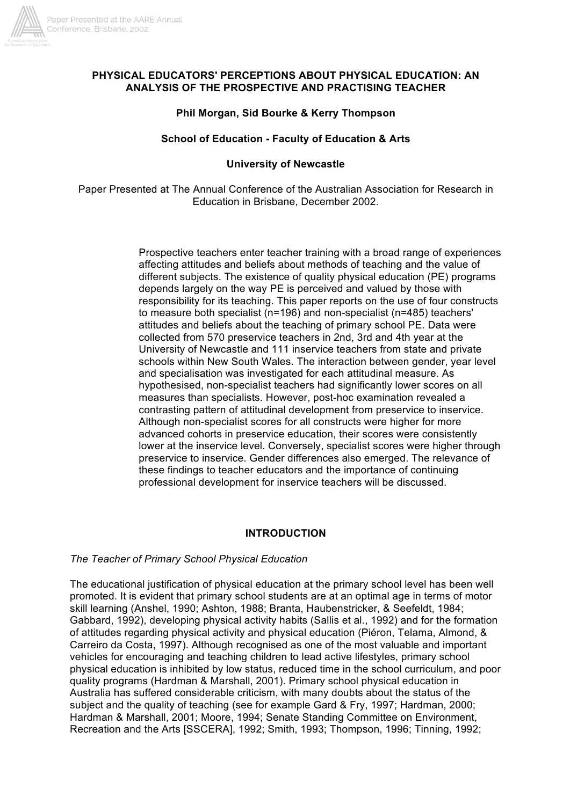

## **PHYSICAL EDUCATORS' PERCEPTIONS ABOUT PHYSICAL EDUCATION: AN ANALYSIS OF THE PROSPECTIVE AND PRACTISING TEACHER**

# **Phil Morgan, Sid Bourke & Kerry Thompson**

## **School of Education - Faculty of Education & Arts**

# **University of Newcastle**

Paper Presented at The Annual Conference of the Australian Association for Research in Education in Brisbane, December 2002.

> Prospective teachers enter teacher training with a broad range of experiences affecting attitudes and beliefs about methods of teaching and the value of different subjects. The existence of quality physical education (PE) programs depends largely on the way PE is perceived and valued by those with responsibility for its teaching. This paper reports on the use of four constructs to measure both specialist (n=196) and non-specialist (n=485) teachers' attitudes and beliefs about the teaching of primary school PE. Data were collected from 570 preservice teachers in 2nd, 3rd and 4th year at the University of Newcastle and 111 inservice teachers from state and private schools within New South Wales. The interaction between gender, year level and specialisation was investigated for each attitudinal measure. As hypothesised, non-specialist teachers had significantly lower scores on all measures than specialists. However, post-hoc examination revealed a contrasting pattern of attitudinal development from preservice to inservice. Although non-specialist scores for all constructs were higher for more advanced cohorts in preservice education, their scores were consistently lower at the inservice level. Conversely, specialist scores were higher through preservice to inservice. Gender differences also emerged. The relevance of these findings to teacher educators and the importance of continuing professional development for inservice teachers will be discussed.

# **INTRODUCTION**

# *The Teacher of Primary School Physical Education*

The educational justification of physical education at the primary school level has been well promoted. It is evident that primary school students are at an optimal age in terms of motor skill learning (Anshel, 1990; Ashton, 1988; Branta, Haubenstricker, & Seefeldt, 1984; Gabbard, 1992), developing physical activity habits (Sallis et al., 1992) and for the formation of attitudes regarding physical activity and physical education (Piéron, Telama, Almond, & Carreiro da Costa, 1997). Although recognised as one of the most valuable and important vehicles for encouraging and teaching children to lead active lifestyles, primary school physical education is inhibited by low status, reduced time in the school curriculum, and poor quality programs (Hardman & Marshall, 2001). Primary school physical education in Australia has suffered considerable criticism, with many doubts about the status of the subject and the quality of teaching (see for example Gard & Fry, 1997; Hardman, 2000; Hardman & Marshall, 2001; Moore, 1994; Senate Standing Committee on Environment, Recreation and the Arts [SSCERA], 1992; Smith, 1993; Thompson, 1996; Tinning, 1992;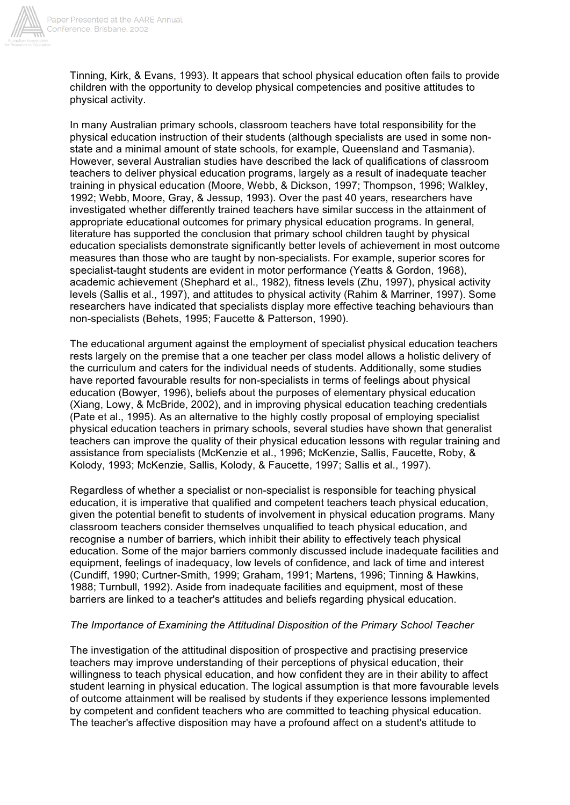

Tinning, Kirk, & Evans, 1993). It appears that school physical education often fails to provide children with the opportunity to develop physical competencies and positive attitudes to physical activity.

In many Australian primary schools, classroom teachers have total responsibility for the physical education instruction of their students (although specialists are used in some nonstate and a minimal amount of state schools, for example, Queensland and Tasmania). However, several Australian studies have described the lack of qualifications of classroom teachers to deliver physical education programs, largely as a result of inadequate teacher training in physical education (Moore, Webb, & Dickson, 1997; Thompson, 1996; Walkley, 1992; Webb, Moore, Gray, & Jessup, 1993). Over the past 40 years, researchers have investigated whether differently trained teachers have similar success in the attainment of appropriate educational outcomes for primary physical education programs. In general, literature has supported the conclusion that primary school children taught by physical education specialists demonstrate significantly better levels of achievement in most outcome measures than those who are taught by non-specialists. For example, superior scores for specialist-taught students are evident in motor performance (Yeatts & Gordon, 1968), academic achievement (Shephard et al., 1982), fitness levels (Zhu, 1997), physical activity levels (Sallis et al., 1997), and attitudes to physical activity (Rahim & Marriner, 1997). Some researchers have indicated that specialists display more effective teaching behaviours than non-specialists (Behets, 1995; Faucette & Patterson, 1990).

The educational argument against the employment of specialist physical education teachers rests largely on the premise that a one teacher per class model allows a holistic delivery of the curriculum and caters for the individual needs of students. Additionally, some studies have reported favourable results for non-specialists in terms of feelings about physical education (Bowyer, 1996), beliefs about the purposes of elementary physical education (Xiang, Lowy, & McBride, 2002), and in improving physical education teaching credentials (Pate et al., 1995). As an alternative to the highly costly proposal of employing specialist physical education teachers in primary schools, several studies have shown that generalist teachers can improve the quality of their physical education lessons with regular training and assistance from specialists (McKenzie et al., 1996; McKenzie, Sallis, Faucette, Roby, & Kolody, 1993; McKenzie, Sallis, Kolody, & Faucette, 1997; Sallis et al., 1997).

Regardless of whether a specialist or non-specialist is responsible for teaching physical education, it is imperative that qualified and competent teachers teach physical education, given the potential benefit to students of involvement in physical education programs. Many classroom teachers consider themselves unqualified to teach physical education, and recognise a number of barriers, which inhibit their ability to effectively teach physical education. Some of the major barriers commonly discussed include inadequate facilities and equipment, feelings of inadequacy, low levels of confidence, and lack of time and interest (Cundiff, 1990; Curtner-Smith, 1999; Graham, 1991; Martens, 1996; Tinning & Hawkins, 1988; Turnbull, 1992). Aside from inadequate facilities and equipment, most of these barriers are linked to a teacher's attitudes and beliefs regarding physical education.

#### *The Importance of Examining the Attitudinal Disposition of the Primary School Teacher*

The investigation of the attitudinal disposition of prospective and practising preservice teachers may improve understanding of their perceptions of physical education, their willingness to teach physical education, and how confident they are in their ability to affect student learning in physical education. The logical assumption is that more favourable levels of outcome attainment will be realised by students if they experience lessons implemented by competent and confident teachers who are committed to teaching physical education. The teacher's affective disposition may have a profound affect on a student's attitude to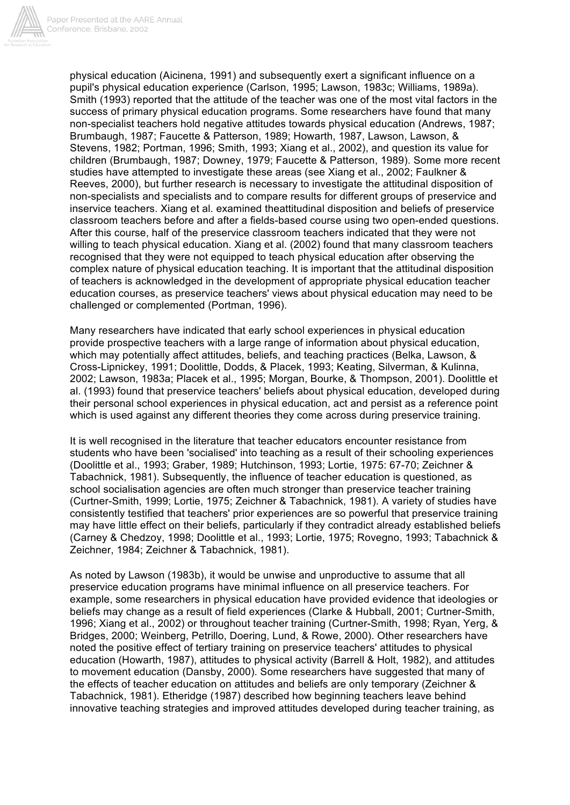

physical education (Aicinena, 1991) and subsequently exert a significant influence on a pupil's physical education experience (Carlson, 1995; Lawson, 1983c; Williams, 1989a). Smith (1993) reported that the attitude of the teacher was one of the most vital factors in the success of primary physical education programs. Some researchers have found that many non-specialist teachers hold negative attitudes towards physical education (Andrews, 1987; Brumbaugh, 1987; Faucette & Patterson, 1989; Howarth, 1987, Lawson, Lawson, & Stevens, 1982; Portman, 1996; Smith, 1993; Xiang et al., 2002), and question its value for children (Brumbaugh, 1987; Downey, 1979; Faucette & Patterson, 1989). Some more recent studies have attempted to investigate these areas (see Xiang et al., 2002; Faulkner & Reeves, 2000), but further research is necessary to investigate the attitudinal disposition of non-specialists and specialists and to compare results for different groups of preservice and inservice teachers. Xiang et al. examined theattitudinal disposition and beliefs of preservice classroom teachers before and after a fields-based course using two open-ended questions. After this course, half of the preservice classroom teachers indicated that they were not willing to teach physical education. Xiang et al. (2002) found that many classroom teachers recognised that they were not equipped to teach physical education after observing the complex nature of physical education teaching. It is important that the attitudinal disposition of teachers is acknowledged in the development of appropriate physical education teacher education courses, as preservice teachers' views about physical education may need to be challenged or complemented (Portman, 1996).

Many researchers have indicated that early school experiences in physical education provide prospective teachers with a large range of information about physical education, which may potentially affect attitudes, beliefs, and teaching practices (Belka, Lawson, & Cross-Lipnickey, 1991; Doolittle, Dodds, & Placek, 1993; Keating, Silverman, & Kulinna, 2002; Lawson, 1983a; Placek et al., 1995; Morgan, Bourke, & Thompson, 2001). Doolittle et al. (1993) found that preservice teachers' beliefs about physical education, developed during their personal school experiences in physical education, act and persist as a reference point which is used against any different theories they come across during preservice training.

It is well recognised in the literature that teacher educators encounter resistance from students who have been 'socialised' into teaching as a result of their schooling experiences (Doolittle et al., 1993; Graber, 1989; Hutchinson, 1993; Lortie, 1975: 67-70; Zeichner & Tabachnick, 1981). Subsequently, the influence of teacher education is questioned, as school socialisation agencies are often much stronger than preservice teacher training (Curtner-Smith, 1999; Lortie, 1975; Zeichner & Tabachnick, 1981). A variety of studies have consistently testified that teachers' prior experiences are so powerful that preservice training may have little effect on their beliefs, particularly if they contradict already established beliefs (Carney & Chedzoy, 1998; Doolittle et al., 1993; Lortie, 1975; Rovegno, 1993; Tabachnick & Zeichner, 1984; Zeichner & Tabachnick, 1981).

As noted by Lawson (1983b), it would be unwise and unproductive to assume that all preservice education programs have minimal influence on all preservice teachers. For example, some researchers in physical education have provided evidence that ideologies or beliefs may change as a result of field experiences (Clarke & Hubball, 2001; Curtner-Smith, 1996; Xiang et al., 2002) or throughout teacher training (Curtner-Smith, 1998; Ryan, Yerg, & Bridges, 2000; Weinberg, Petrillo, Doering, Lund, & Rowe, 2000). Other researchers have noted the positive effect of tertiary training on preservice teachers' attitudes to physical education (Howarth, 1987), attitudes to physical activity (Barrell & Holt, 1982), and attitudes to movement education (Dansby, 2000). Some researchers have suggested that many of the effects of teacher education on attitudes and beliefs are only temporary (Zeichner & Tabachnick, 1981). Etheridge (1987) described how beginning teachers leave behind innovative teaching strategies and improved attitudes developed during teacher training, as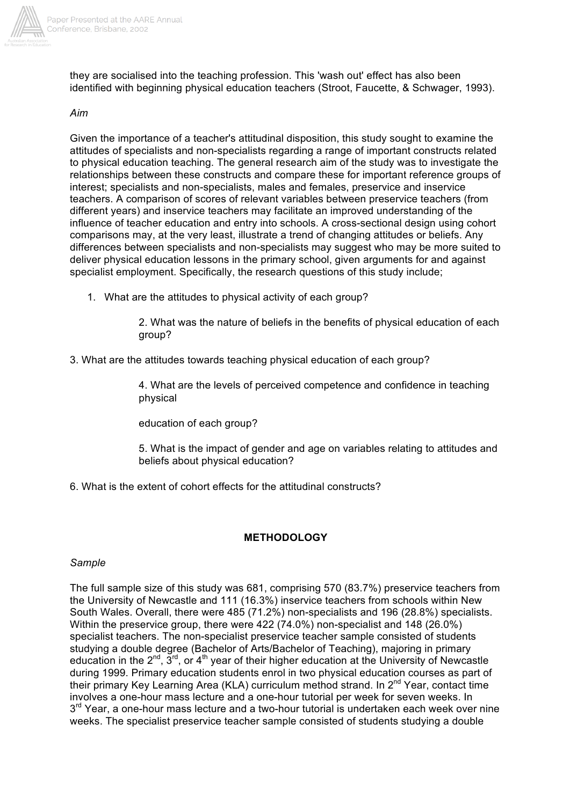

they are socialised into the teaching profession. This 'wash out' effect has also been identified with beginning physical education teachers (Stroot, Faucette, & Schwager, 1993).

#### *Aim*

Given the importance of a teacher's attitudinal disposition, this study sought to examine the attitudes of specialists and non-specialists regarding a range of important constructs related to physical education teaching. The general research aim of the study was to investigate the relationships between these constructs and compare these for important reference groups of interest; specialists and non-specialists, males and females, preservice and inservice teachers. A comparison of scores of relevant variables between preservice teachers (from different years) and inservice teachers may facilitate an improved understanding of the influence of teacher education and entry into schools. A cross-sectional design using cohort comparisons may, at the very least, illustrate a trend of changing attitudes or beliefs. Any differences between specialists and non-specialists may suggest who may be more suited to deliver physical education lessons in the primary school, given arguments for and against specialist employment. Specifically, the research questions of this study include;

1. What are the attitudes to physical activity of each group?

2. What was the nature of beliefs in the benefits of physical education of each group?

3. What are the attitudes towards teaching physical education of each group?

4. What are the levels of perceived competence and confidence in teaching physical

education of each group?

5. What is the impact of gender and age on variables relating to attitudes and beliefs about physical education?

6. What is the extent of cohort effects for the attitudinal constructs?

## **METHODOLOGY**

#### *Sample*

The full sample size of this study was 681, comprising 570 (83.7%) preservice teachers from the University of Newcastle and 111 (16.3%) inservice teachers from schools within New South Wales. Overall, there were 485 (71.2%) non-specialists and 196 (28.8%) specialists. Within the preservice group, there were 422 (74.0%) non-specialist and 148 (26.0%) specialist teachers. The non-specialist preservice teacher sample consisted of students studying a double degree (Bachelor of Arts/Bachelor of Teaching), majoring in primary education in the  $2^{nd}$ ,  $3^{rd}$ , or  $4^{th}$  year of their higher education at the University of Newcastle during 1999. Primary education students enrol in two physical education courses as part of their primary Key Learning Area (KLA) curriculum method strand. In 2<sup>nd</sup> Year, contact time involves a one-hour mass lecture and a one-hour tutorial per week for seven weeks. In  $3<sup>rd</sup>$  Year, a one-hour mass lecture and a two-hour tutorial is undertaken each week over nine weeks. The specialist preservice teacher sample consisted of students studying a double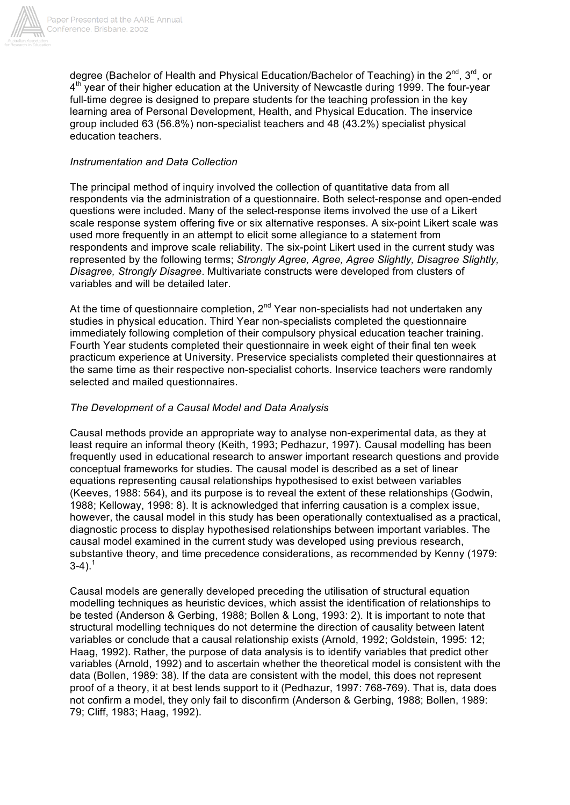

degree (Bachelor of Health and Physical Education/Bachelor of Teaching) in the 2<sup>nd</sup>. 3<sup>rd</sup>, or  $4<sup>th</sup>$  year of their higher education at the University of Newcastle during 1999. The four-year full-time degree is designed to prepare students for the teaching profession in the key learning area of Personal Development, Health, and Physical Education. The inservice group included 63 (56.8%) non-specialist teachers and 48 (43.2%) specialist physical education teachers.

## *Instrumentation and Data Collection*

The principal method of inquiry involved the collection of quantitative data from all respondents via the administration of a questionnaire. Both select-response and open-ended questions were included. Many of the select-response items involved the use of a Likert scale response system offering five or six alternative responses. A six-point Likert scale was used more frequently in an attempt to elicit some allegiance to a statement from respondents and improve scale reliability. The six-point Likert used in the current study was represented by the following terms; *Strongly Agree, Agree, Agree Slightly, Disagree Slightly, Disagree, Strongly Disagree*. Multivariate constructs were developed from clusters of variables and will be detailed later.

At the time of questionnaire completion,  $2^{nd}$  Year non-specialists had not undertaken any studies in physical education. Third Year non-specialists completed the questionnaire immediately following completion of their compulsory physical education teacher training. Fourth Year students completed their questionnaire in week eight of their final ten week practicum experience at University. Preservice specialists completed their questionnaires at the same time as their respective non-specialist cohorts. Inservice teachers were randomly selected and mailed questionnaires.

### *The Development of a Causal Model and Data Analysis*

Causal methods provide an appropriate way to analyse non-experimental data, as they at least require an informal theory (Keith, 1993; Pedhazur, 1997). Causal modelling has been frequently used in educational research to answer important research questions and provide conceptual frameworks for studies. The causal model is described as a set of linear equations representing causal relationships hypothesised to exist between variables (Keeves, 1988: 564), and its purpose is to reveal the extent of these relationships (Godwin, 1988; Kelloway, 1998: 8). It is acknowledged that inferring causation is a complex issue, however, the causal model in this study has been operationally contextualised as a practical, diagnostic process to display hypothesised relationships between important variables. The causal model examined in the current study was developed using previous research, substantive theory, and time precedence considerations, as recommended by Kenny (1979:  $3-4$ ).<sup>1</sup>

Causal models are generally developed preceding the utilisation of structural equation modelling techniques as heuristic devices, which assist the identification of relationships to be tested (Anderson & Gerbing, 1988; Bollen & Long, 1993: 2). It is important to note that structural modelling techniques do not determine the direction of causality between latent variables or conclude that a causal relationship exists (Arnold, 1992; Goldstein, 1995: 12; Haag, 1992). Rather, the purpose of data analysis is to identify variables that predict other variables (Arnold, 1992) and to ascertain whether the theoretical model is consistent with the data (Bollen, 1989: 38). If the data are consistent with the model, this does not represent proof of a theory, it at best lends support to it (Pedhazur, 1997: 768-769). That is, data does not confirm a model, they only fail to disconfirm (Anderson & Gerbing, 1988; Bollen, 1989: 79; Cliff, 1983; Haag, 1992).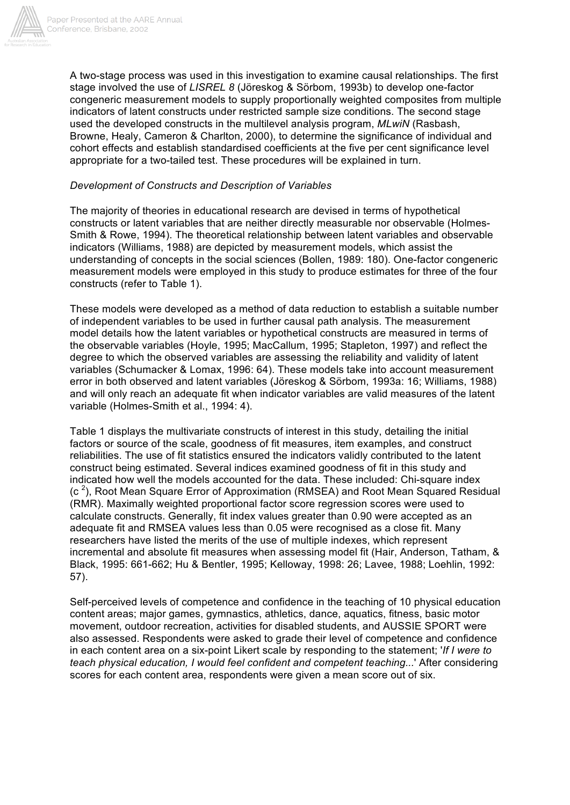

A two-stage process was used in this investigation to examine causal relationships. The first stage involved the use of *LISREL 8* (Jöreskog & Sörbom, 1993b) to develop one-factor congeneric measurement models to supply proportionally weighted composites from multiple indicators of latent constructs under restricted sample size conditions. The second stage used the developed constructs in the multilevel analysis program, *MLwiN* (Rasbash, Browne, Healy, Cameron & Charlton, 2000), to determine the significance of individual and cohort effects and establish standardised coefficients at the five per cent significance level appropriate for a two-tailed test. These procedures will be explained in turn.

#### *Development of Constructs and Description of Variables*

The majority of theories in educational research are devised in terms of hypothetical constructs or latent variables that are neither directly measurable nor observable (Holmes-Smith & Rowe, 1994). The theoretical relationship between latent variables and observable indicators (Williams, 1988) are depicted by measurement models, which assist the understanding of concepts in the social sciences (Bollen, 1989: 180). One-factor congeneric measurement models were employed in this study to produce estimates for three of the four constructs (refer to Table 1).

These models were developed as a method of data reduction to establish a suitable number of independent variables to be used in further causal path analysis. The measurement model details how the latent variables or hypothetical constructs are measured in terms of the observable variables (Hoyle, 1995; MacCallum, 1995; Stapleton, 1997) and reflect the degree to which the observed variables are assessing the reliability and validity of latent variables (Schumacker & Lomax, 1996: 64). These models take into account measurement error in both observed and latent variables (Jöreskog & Sörbom, 1993a: 16; Williams, 1988) and will only reach an adequate fit when indicator variables are valid measures of the latent variable (Holmes-Smith et al., 1994: 4).

Table 1 displays the multivariate constructs of interest in this study, detailing the initial factors or source of the scale, goodness of fit measures, item examples, and construct reliabilities. The use of fit statistics ensured the indicators validly contributed to the latent construct being estimated. Several indices examined goodness of fit in this study and indicated how well the models accounted for the data. These included: Chi-square index  $(c<sup>2</sup>)$ , Root Mean Square Error of Approximation (RMSEA) and Root Mean Squared Residual (RMR). Maximally weighted proportional factor score regression scores were used to calculate constructs. Generally, fit index values greater than 0.90 were accepted as an adequate fit and RMSEA values less than 0.05 were recognised as a close fit. Many researchers have listed the merits of the use of multiple indexes, which represent incremental and absolute fit measures when assessing model fit (Hair, Anderson, Tatham, & Black, 1995: 661-662; Hu & Bentler, 1995; Kelloway, 1998: 26; Lavee, 1988; Loehlin, 1992: 57).

Self-perceived levels of competence and confidence in the teaching of 10 physical education content areas; major games, gymnastics, athletics, dance, aquatics, fitness, basic motor movement, outdoor recreation, activities for disabled students, and AUSSIE SPORT were also assessed. Respondents were asked to grade their level of competence and confidence in each content area on a six-point Likert scale by responding to the statement; '*If I were to teach physical education, I would feel confident and competent teaching...*' After considering scores for each content area, respondents were given a mean score out of six.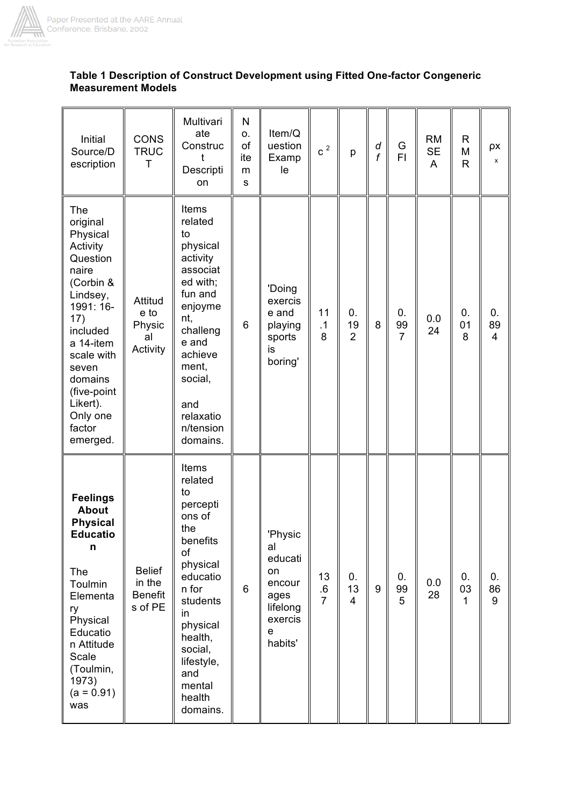

## **Table 1 Description of Construct Development using Fitted One-factor Congeneric Measurement Models**

| Initial<br>Source/D<br>escription<br>The                                                                                                                                                                                   | <b>CONS</b><br><b>TRUC</b><br>Τ                      | Multivari<br>ate<br>Construc<br>t<br>Descripti<br>on<br>Items                                                                                                                                                   | N<br>о.<br>of<br>ite<br>m<br>${\bf s}$ | Item/Q<br>uestion<br>Examp<br>le                                                        | $\,c\,$ $^{2}$             | p                          | d<br>f | G<br>FI.                   | <b>RM</b><br><b>SE</b><br>A | R<br>M<br>$\mathsf{R}$ | ρx<br>x                    |
|----------------------------------------------------------------------------------------------------------------------------------------------------------------------------------------------------------------------------|------------------------------------------------------|-----------------------------------------------------------------------------------------------------------------------------------------------------------------------------------------------------------------|----------------------------------------|-----------------------------------------------------------------------------------------|----------------------------|----------------------------|--------|----------------------------|-----------------------------|------------------------|----------------------------|
| original<br>Physical<br>Activity<br>Question<br>naire<br>(Corbin &<br>Lindsey,<br>1991: 16-<br>17)<br>included<br>a 14-item<br>scale with<br>seven<br>domains<br>(five-point<br>Likert).<br>Only one<br>factor<br>emerged. | Attitud<br>e to<br>Physic<br>al<br>Activity          | related<br>to<br>physical<br>activity<br>associat<br>ed with;<br>fun and<br>enjoyme<br>nt,<br>challeng<br>e and<br>achieve<br>ment,<br>social,<br>and<br>relaxatio<br>n/tension<br>domains.                     | 6                                      | 'Doing<br>exercis<br>e and<br>playing<br>sports<br>is<br>boring'                        | 11<br>$\cdot$ 1<br>8       | 0.<br>19<br>$\overline{2}$ | 8      | 0.<br>99<br>$\overline{7}$ | 0.0<br>24                   | 0.<br>01<br>8          | 0.<br>89<br>$\overline{4}$ |
| <b>Feelings</b><br><b>About</b><br><b>Physical</b><br><b>Educatio</b><br>n<br>The<br>Toulmin<br>Elementa<br>ry<br>Physical<br>Educatio<br>n Attitude<br>Scale<br>(Toulmin,<br>1973)<br>$(a = 0.91)$<br>was                 | <b>Belief</b><br>in the<br><b>Benefit</b><br>s of PE | Items<br>related<br>to<br>percepti<br>ons of<br>the<br>benefits<br>of<br>physical<br>educatio<br>n for<br>students<br>in<br>physical<br>health,<br>social,<br>lifestyle,<br>and<br>mental<br>health<br>domains. | 6                                      | 'Physic<br>al<br>educati<br>on<br>encour<br>ages<br>lifelong<br>exercis<br>e<br>habits' | 13<br>.6<br>$\overline{7}$ | 0.<br>13<br>$\overline{4}$ | 9      | 0.<br>99<br>5              | 0.0<br>28                   | 0.<br>03<br>1          | 0.<br>86<br>9              |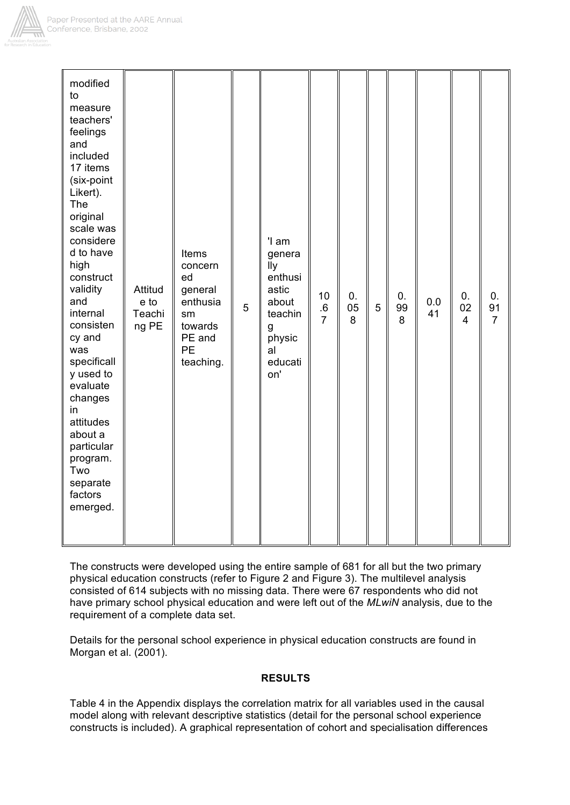

| modified<br>to<br>measure<br>teachers'<br>feelings<br>and<br>included<br>17 items<br>(six-point<br>Likert).<br>The<br>original<br>scale was<br>considere<br>d to have<br>high<br>construct<br>validity<br>and<br>internal<br>consisten<br>cy and<br>was<br>specificall<br>y used to<br>evaluate<br>changes<br>in<br>attitudes<br>about a<br>particular<br>program.<br>Two<br>separate | Attitud<br>e to<br>Teachi<br>ng PE | Items<br>concern<br>ed<br>general<br>enthusia<br>sm<br>towards<br>PE and<br><b>PE</b><br>teaching. | 5 | 'I am<br>genera<br>lly<br>enthusi<br>astic<br>about<br>teachin<br>g<br>physic<br>al<br>educati<br>on' | 10<br>$.6$<br>7 | 0.<br>05<br>8 | 5 | 0.<br>99<br>8 | $0.0\,$<br>41 | 0.<br>02<br>$\overline{4}$ | 0.<br>91<br>$\overline{7}$ |
|---------------------------------------------------------------------------------------------------------------------------------------------------------------------------------------------------------------------------------------------------------------------------------------------------------------------------------------------------------------------------------------|------------------------------------|----------------------------------------------------------------------------------------------------|---|-------------------------------------------------------------------------------------------------------|-----------------|---------------|---|---------------|---------------|----------------------------|----------------------------|
| factors<br>emerged.                                                                                                                                                                                                                                                                                                                                                                   |                                    |                                                                                                    |   |                                                                                                       |                 |               |   |               |               |                            |                            |

The constructs were developed using the entire sample of 681 for all but the two primary physical education constructs (refer to Figure 2 and Figure 3). The multilevel analysis consisted of 614 subjects with no missing data. There were 67 respondents who did not have primary school physical education and were left out of the *MLwiN* analysis, due to the requirement of a complete data set.

Details for the personal school experience in physical education constructs are found in Morgan et al. (2001).

## **RESULTS**

Table 4 in the Appendix displays the correlation matrix for all variables used in the causal model along with relevant descriptive statistics (detail for the personal school experience constructs is included). A graphical representation of cohort and specialisation differences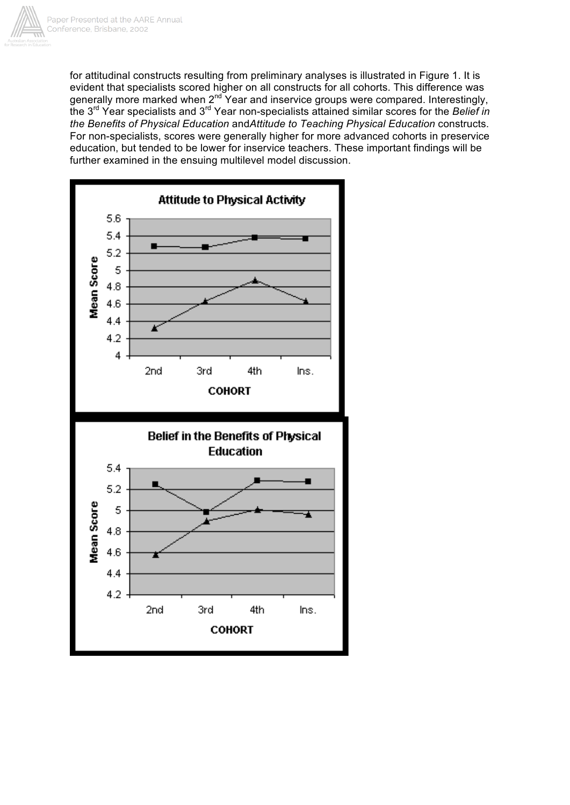

for attitudinal constructs resulting from preliminary analyses is illustrated in Figure 1. It is evident that specialists scored higher on all constructs for all cohorts. This difference was generally more marked when  $2^{nd}$  Year and inservice groups were compared. Interestingly, the 3rd Year specialists and 3rd Year non-specialists attained similar scores for the *Belief in the Benefits of Physical Education* and*Attitude to Teaching Physical Education* constructs. For non-specialists, scores were generally higher for more advanced cohorts in preservice education, but tended to be lower for inservice teachers. These important findings will be further examined in the ensuing multilevel model discussion.

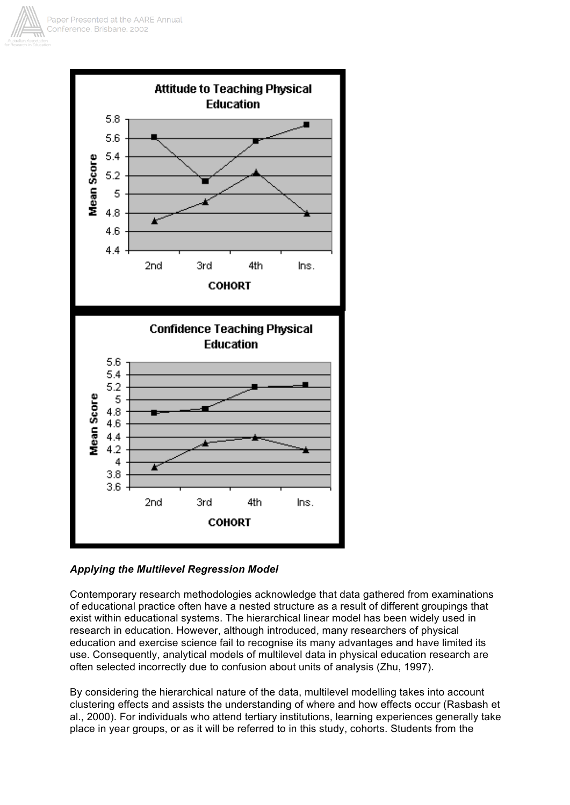



## *Applying the Multilevel Regression Model*

Contemporary research methodologies acknowledge that data gathered from examinations of educational practice often have a nested structure as a result of different groupings that exist within educational systems. The hierarchical linear model has been widely used in research in education. However, although introduced, many researchers of physical education and exercise science fail to recognise its many advantages and have limited its use. Consequently, analytical models of multilevel data in physical education research are often selected incorrectly due to confusion about units of analysis (Zhu, 1997).

By considering the hierarchical nature of the data, multilevel modelling takes into account clustering effects and assists the understanding of where and how effects occur (Rasbash et al., 2000). For individuals who attend tertiary institutions, learning experiences generally take place in year groups, or as it will be referred to in this study, cohorts. Students from the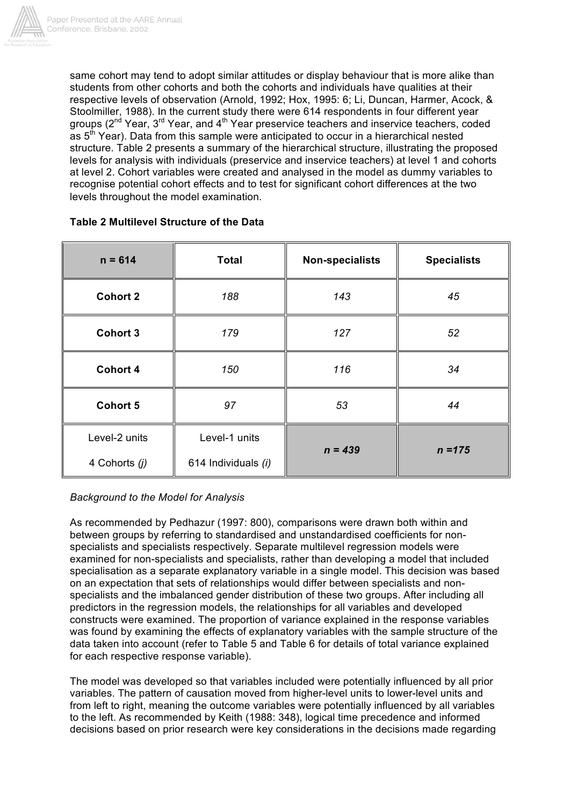

same cohort may tend to adopt similar attitudes or display behaviour that is more alike than students from other cohorts and both the cohorts and individuals have qualities at their respective levels of observation (Arnold, 1992; Hox, 1995: 6; Li, Duncan, Harmer, Acock, & Stoolmiller, 1988). In the current study there were 614 respondents in four different year groups (2<sup>nd</sup> Year, 3<sup>rd</sup> Year, and 4<sup>th</sup> Year preservice teachers and inservice teachers, coded as 5<sup>th</sup> Year). Data from this sample were anticipated to occur in a hierarchical nested structure. Table 2 presents a summary of the hierarchical structure, illustrating the proposed levels for analysis with individuals (preservice and inservice teachers) at level 1 and cohorts at level 2. Cohort variables were created and analysed in the model as dummy variables to recognise potential cohort effects and to test for significant cohort differences at the two levels throughout the model examination.

| $n = 614$       | <b>Total</b>        | <b>Non-specialists</b> | <b>Specialists</b> |  |
|-----------------|---------------------|------------------------|--------------------|--|
| <b>Cohort 2</b> | 188                 | 143                    | 45                 |  |
| <b>Cohort 3</b> | 179                 | 127                    | 52                 |  |
| <b>Cohort 4</b> | 150                 | 116                    | 34                 |  |
| <b>Cohort 5</b> | 97                  | 53                     | 44                 |  |
| Level-2 units   | Level-1 units       |                        |                    |  |
| 4 Cohorts (j)   | 614 Individuals (i) | $n = 439$              | $n = 175$          |  |

## **Table 2 Multilevel Structure of the Data**

## *Background to the Model for Analysis*

As recommended by Pedhazur (1997: 800), comparisons were drawn both within and between groups by referring to standardised and unstandardised coefficients for nonspecialists and specialists respectively. Separate multilevel regression models were examined for non-specialists and specialists, rather than developing a model that included specialisation as a separate explanatory variable in a single model. This decision was based on an expectation that sets of relationships would differ between specialists and nonspecialists and the imbalanced gender distribution of these two groups. After including all predictors in the regression models, the relationships for all variables and developed constructs were examined. The proportion of variance explained in the response variables was found by examining the effects of explanatory variables with the sample structure of the data taken into account (refer to Table 5 and Table 6 for details of total variance explained for each respective response variable).

The model was developed so that variables included were potentially influenced by all prior variables. The pattern of causation moved from higher-level units to lower-level units and from left to right, meaning the outcome variables were potentially influenced by all variables to the left. As recommended by Keith (1988: 348), logical time precedence and informed decisions based on prior research were key considerations in the decisions made regarding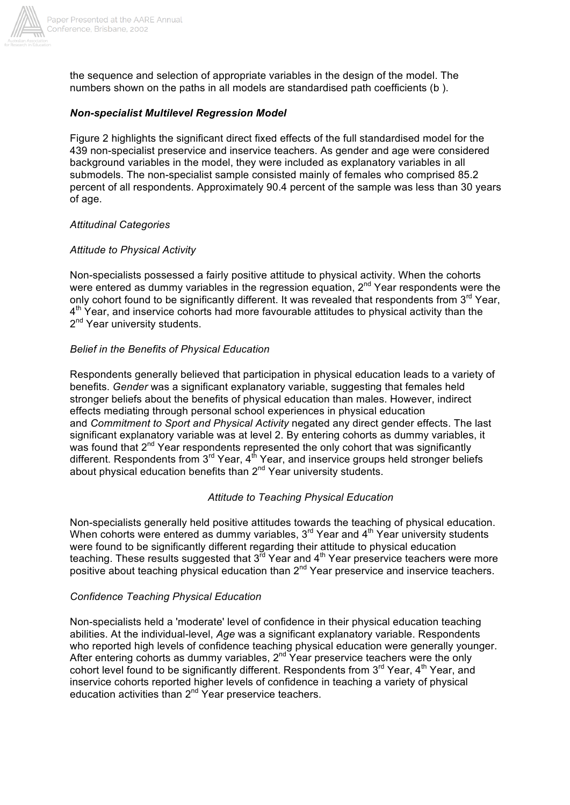

the sequence and selection of appropriate variables in the design of the model. The numbers shown on the paths in all models are standardised path coefficients (b ).

### *Non-specialist Multilevel Regression Model*

Figure 2 highlights the significant direct fixed effects of the full standardised model for the 439 non-specialist preservice and inservice teachers. As gender and age were considered background variables in the model, they were included as explanatory variables in all submodels. The non-specialist sample consisted mainly of females who comprised 85.2 percent of all respondents. Approximately 90.4 percent of the sample was less than 30 years of age.

#### *Attitudinal Categories*

#### *Attitude to Physical Activity*

Non-specialists possessed a fairly positive attitude to physical activity. When the cohorts were entered as dummy variables in the regression equation, 2<sup>nd</sup> Year respondents were the only cohort found to be significantly different. It was revealed that respondents from 3<sup>rd</sup> Year,  $4<sup>th</sup>$  Year, and inservice cohorts had more favourable attitudes to physical activity than the 2<sup>nd</sup> Year university students.

#### *Belief in the Benefits of Physical Education*

Respondents generally believed that participation in physical education leads to a variety of benefits. *Gender* was a significant explanatory variable, suggesting that females held stronger beliefs about the benefits of physical education than males. However, indirect effects mediating through personal school experiences in physical education and *Commitment to Sport and Physical Activity* negated any direct gender effects. The last significant explanatory variable was at level 2. By entering cohorts as dummy variables, it was found that 2<sup>nd</sup> Year respondents represented the only cohort that was significantly different. Respondents from 3<sup>rd</sup> Year, 4<sup>th</sup> Year, and inservice groups held stronger beliefs about physical education benefits than 2nd Year university students.

#### *Attitude to Teaching Physical Education*

Non-specialists generally held positive attitudes towards the teaching of physical education. When cohorts were entered as dummy variables,  $3<sup>rd</sup>$  Year and  $4<sup>th</sup>$  Year university students were found to be significantly different regarding their attitude to physical education teaching. These results suggested that  $3^{rd}$  Year and  $4^{th}$  Year preservice teachers were more positive about teaching physical education than 2<sup>nd</sup> Year preservice and inservice teachers.

#### *Confidence Teaching Physical Education*

Non-specialists held a 'moderate' level of confidence in their physical education teaching abilities. At the individual-level, *Age* was a significant explanatory variable. Respondents who reported high levels of confidence teaching physical education were generally younger. After entering cohorts as dummy variables,  $2<sup>nd</sup>$  Year preservice teachers were the only cohort level found to be significantly different. Respondents from  $3<sup>rd</sup>$  Year,  $4<sup>th</sup>$  Year, and inservice cohorts reported higher levels of confidence in teaching a variety of physical education activities than 2<sup>nd</sup> Year preservice teachers.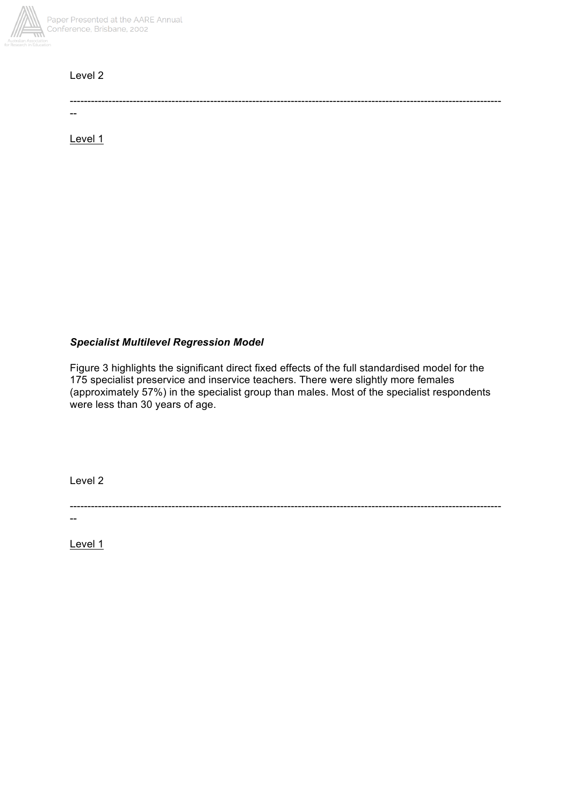

## Level 2

---------------------------------------------------------------------------------------------------------------------------

Level 1

--

## *Specialist Multilevel Regression Model*

Figure 3 highlights the significant direct fixed effects of the full standardised model for the 175 specialist preservice and inservice teachers. There were slightly more females (approximately 57%) in the specialist group than males. Most of the specialist respondents were less than 30 years of age.

Level 2

---------------------------------------------------------------------------------------------------------------------------

Level 1

--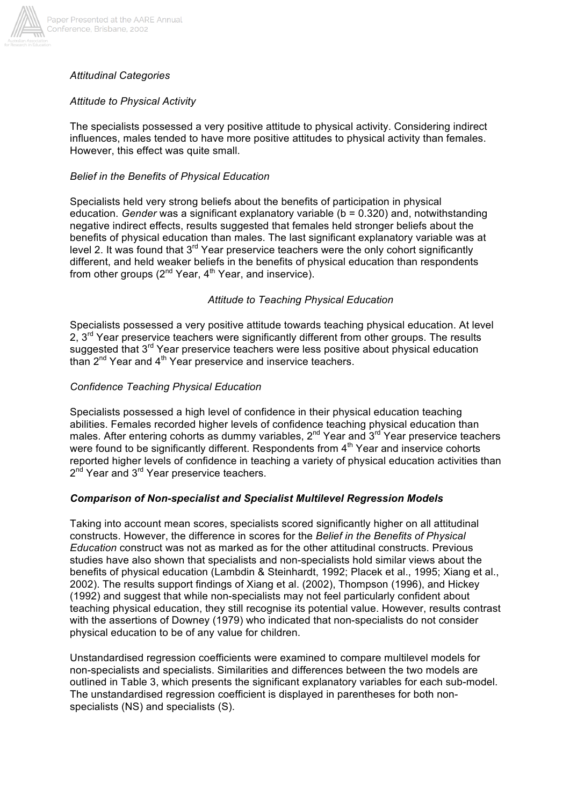

#### Paper Presented at the AARE Annual Conference, Brisbane, 2002

## *Attitudinal Categories*

## *Attitude to Physical Activity*

The specialists possessed a very positive attitude to physical activity. Considering indirect influences, males tended to have more positive attitudes to physical activity than females. However, this effect was quite small.

### *Belief in the Benefits of Physical Education*

Specialists held very strong beliefs about the benefits of participation in physical education. *Gender* was a significant explanatory variable (b = 0.320) and, notwithstanding negative indirect effects, results suggested that females held stronger beliefs about the benefits of physical education than males. The last significant explanatory variable was at level 2. It was found that  $3<sup>rd</sup>$  Year preservice teachers were the only cohort significantly different, and held weaker beliefs in the benefits of physical education than respondents from other groups  $(2^{nd}$  Year,  $4^{th}$  Year, and inservice).

## *Attitude to Teaching Physical Education*

Specialists possessed a very positive attitude towards teaching physical education. At level 2,  $3<sup>rd</sup>$  Year preservice teachers were significantly different from other groups. The results suggested that 3<sup>rd</sup> Year preservice teachers were less positive about physical education than  $2^{nd}$  Year and  $4^{th}$  Year preservice and inservice teachers.

## *Confidence Teaching Physical Education*

Specialists possessed a high level of confidence in their physical education teaching abilities. Females recorded higher levels of confidence teaching physical education than males. After entering cohorts as dummy variables,  $2^{nd}$  Year and  $3^{rd}$  Year preservice teachers were found to be significantly different. Respondents from  $4<sup>th</sup>$  Year and inservice cohorts reported higher levels of confidence in teaching a variety of physical education activities than 2<sup>nd</sup> Year and 3<sup>rd</sup> Year preservice teachers.

## *Comparison of Non-specialist and Specialist Multilevel Regression Models*

Taking into account mean scores, specialists scored significantly higher on all attitudinal constructs. However, the difference in scores for the *Belief in the Benefits of Physical Education* construct was not as marked as for the other attitudinal constructs. Previous studies have also shown that specialists and non-specialists hold similar views about the benefits of physical education (Lambdin & Steinhardt, 1992; Placek et al., 1995; Xiang et al., 2002). The results support findings of Xiang et al. (2002), Thompson (1996), and Hickey (1992) and suggest that while non-specialists may not feel particularly confident about teaching physical education, they still recognise its potential value. However, results contrast with the assertions of Downey (1979) who indicated that non-specialists do not consider physical education to be of any value for children.

Unstandardised regression coefficients were examined to compare multilevel models for non-specialists and specialists. Similarities and differences between the two models are outlined in Table 3, which presents the significant explanatory variables for each sub-model. The unstandardised regression coefficient is displayed in parentheses for both nonspecialists (NS) and specialists (S).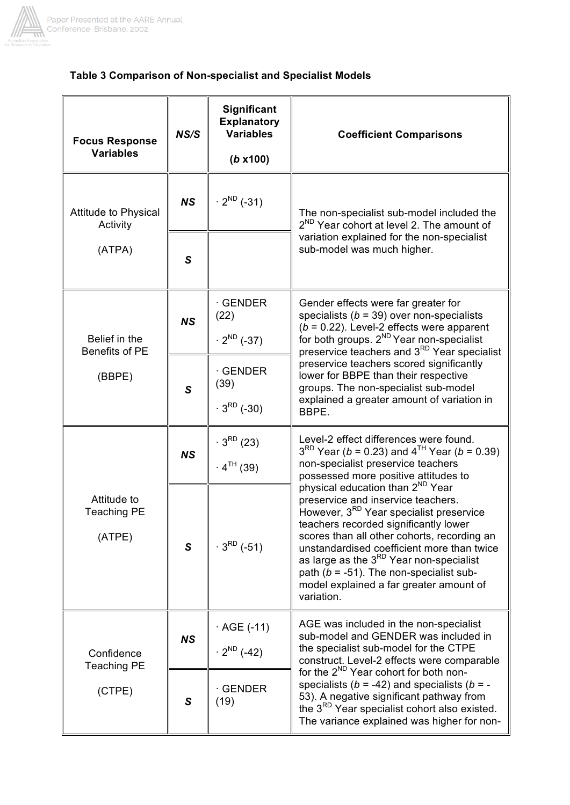

# **Table 3 Comparison of Non-specialist and Specialist Models**

| <b>Focus Response</b><br><b>Variables</b>   | NS/S         | <b>Significant</b><br><b>Explanatory</b><br><b>Variables</b><br>$(b \times 100)$ | <b>Coefficient Comparisons</b>                                                                                                                                                                                                                                                                                                                                                                                                                 |  |  |  |
|---------------------------------------------|--------------|----------------------------------------------------------------------------------|------------------------------------------------------------------------------------------------------------------------------------------------------------------------------------------------------------------------------------------------------------------------------------------------------------------------------------------------------------------------------------------------------------------------------------------------|--|--|--|
| <b>Attitude to Physical</b><br>Activity     | <b>NS</b>    | $\cdot$ 2 <sup>ND</sup> (-31)                                                    | The non-specialist sub-model included the<br>2 <sup>ND</sup> Year cohort at level 2. The amount of                                                                                                                                                                                                                                                                                                                                             |  |  |  |
| (ATPA)                                      | S            |                                                                                  | variation explained for the non-specialist<br>sub-model was much higher.                                                                                                                                                                                                                                                                                                                                                                       |  |  |  |
| Belief in the<br>Benefits of PE             | <b>NS</b>    | <b>GENDER</b><br>(22)<br>$\cdot$ 2 <sup>ND</sup> (-37)                           | Gender effects were far greater for<br>specialists ( $b = 39$ ) over non-specialists<br>$(b = 0.22)$ . Level-2 effects were apparent<br>for both groups. 2 <sup>ND</sup> Year non-specialist<br>preservice teachers and 3 <sup>RD</sup> Year specialist                                                                                                                                                                                        |  |  |  |
| (BBPE)                                      | $\mathsf{s}$ | <b>GENDER</b><br>(39)<br>$3^{RD}$ (-30)                                          | preservice teachers scored significantly<br>lower for BBPE than their respective<br>groups. The non-specialist sub-model<br>explained a greater amount of variation in<br>BBPE.                                                                                                                                                                                                                                                                |  |  |  |
|                                             | <b>NS</b>    | $3^{RD}$ (23)<br>$4^{TH}$ (39)                                                   | Level-2 effect differences were found.<br>$3^{RD}$ Year (b = 0.23) and $4^{TH}$ Year (b = 0.39)<br>non-specialist preservice teachers<br>possessed more positive attitudes to                                                                                                                                                                                                                                                                  |  |  |  |
| Attitude to<br><b>Teaching PE</b><br>(ATPE) | S            | $3^{RD}$ (-51)                                                                   | physical education than 2 <sup>ND</sup> Year<br>preservice and inservice teachers.<br>However, 3 <sup>RD</sup> Year specialist preservice<br>teachers recorded significantly lower<br>scores than all other cohorts, recording an<br>unstandardised coefficient more than twice<br>as large as the 3 <sup>RD</sup> Year non-specialist<br>path ( $b = -51$ ). The non-specialist sub-<br>model explained a far greater amount of<br>variation. |  |  |  |
| Confidence                                  | <b>NS</b>    | AGE (-11)<br>$\cdot$ 2 <sup>ND</sup> (-42)                                       | AGE was included in the non-specialist<br>sub-model and GENDER was included in<br>the specialist sub-model for the CTPE<br>construct. Level-2 effects were comparable                                                                                                                                                                                                                                                                          |  |  |  |
| <b>Teaching PE</b><br>(CTPE)                | S            | <b>GENDER</b><br>(19)                                                            | for the 2 <sup>ND</sup> Year cohort for both non-<br>specialists ( $b = -42$ ) and specialists ( $b = -$<br>53). A negative significant pathway from<br>the 3 <sup>RD</sup> Year specialist cohort also existed.<br>The variance explained was higher for non-                                                                                                                                                                                 |  |  |  |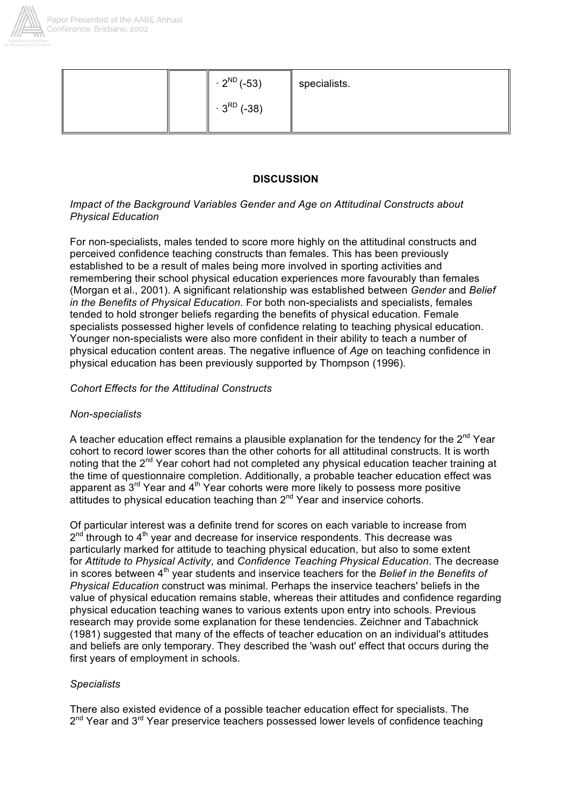

| $\cdot$ 2 <sup>ND</sup> (-53) | specialists. |
|-------------------------------|--------------|
| $3^{RD}$ (-38)                |              |

## **DISCUSSION**

### *Impact of the Background Variables Gender and Age on Attitudinal Constructs about Physical Education*

For non-specialists, males tended to score more highly on the attitudinal constructs and perceived confidence teaching constructs than females. This has been previously established to be a result of males being more involved in sporting activities and remembering their school physical education experiences more favourably than females (Morgan et al., 2001). A significant relationship was established between *Gender* and *Belief in the Benefits of Physical Education*. For both non-specialists and specialists, females tended to hold stronger beliefs regarding the benefits of physical education. Female specialists possessed higher levels of confidence relating to teaching physical education. Younger non-specialists were also more confident in their ability to teach a number of physical education content areas. The negative influence of *Age* on teaching confidence in physical education has been previously supported by Thompson (1996).

## *Cohort Effects for the Attitudinal Constructs*

#### *Non-specialists*

A teacher education effect remains a plausible explanation for the tendency for the  $2^{nd}$  Year cohort to record lower scores than the other cohorts for all attitudinal constructs. It is worth noting that the  $2^{nd}$  Year cohort had not completed any physical education teacher training at the time of questionnaire completion. Additionally, a probable teacher education effect was apparent as  $3<sup>rd</sup>$  Year and  $4<sup>th</sup>$  Year cohorts were more likely to possess more positive attitudes to physical education teaching than 2<sup>nd</sup> Year and inservice cohorts.

Of particular interest was a definite trend for scores on each variable to increase from  $2^{nd}$  through to  $4^{th}$  year and decrease for inservice respondents. This decrease was particularly marked for attitude to teaching physical education, but also to some extent for *Attitude to Physical Activity*, and *Confidence Teaching Physical Education*. The decrease in scores between 4<sup>th</sup> year students and inservice teachers for the *Belief in the Benefits of Physical Education* construct was minimal. Perhaps the inservice teachers' beliefs in the value of physical education remains stable, whereas their attitudes and confidence regarding physical education teaching wanes to various extents upon entry into schools. Previous research may provide some explanation for these tendencies. Zeichner and Tabachnick (1981) suggested that many of the effects of teacher education on an individual's attitudes and beliefs are only temporary. They described the 'wash out' effect that occurs during the first years of employment in schools.

#### *Specialists*

There also existed evidence of a possible teacher education effect for specialists. The  $2<sup>nd</sup>$  Year and  $3<sup>rd</sup>$  Year preservice teachers possessed lower levels of confidence teaching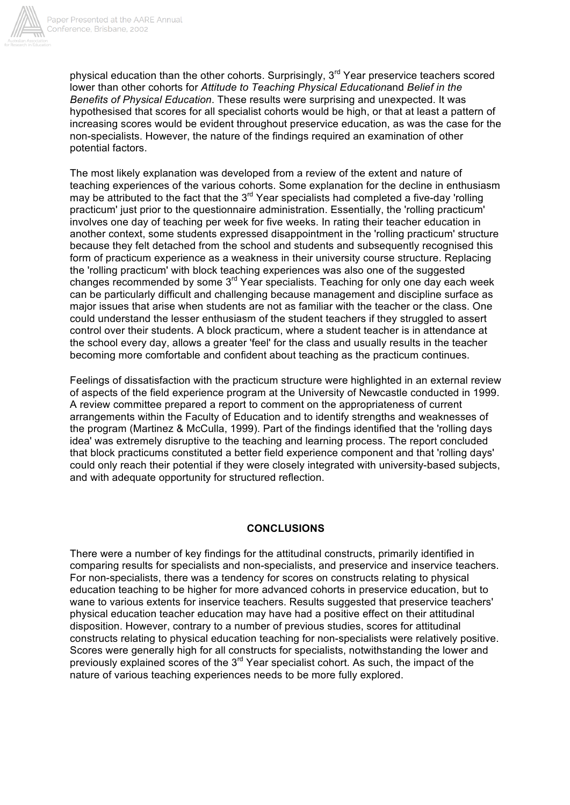

physical education than the other cohorts. Surprisingly,  $3<sup>rd</sup>$  Year preservice teachers scored lower than other cohorts for *Attitude to Teaching Physical Education*and *Belief in the Benefits of Physical Education*. These results were surprising and unexpected. It was hypothesised that scores for all specialist cohorts would be high, or that at least a pattern of increasing scores would be evident throughout preservice education, as was the case for the non-specialists. However, the nature of the findings required an examination of other potential factors.

The most likely explanation was developed from a review of the extent and nature of teaching experiences of the various cohorts. Some explanation for the decline in enthusiasm may be attributed to the fact that the  $3<sup>rd</sup>$  Year specialists had completed a five-day 'rolling practicum' just prior to the questionnaire administration. Essentially, the 'rolling practicum' involves one day of teaching per week for five weeks. In rating their teacher education in another context, some students expressed disappointment in the 'rolling practicum' structure because they felt detached from the school and students and subsequently recognised this form of practicum experience as a weakness in their university course structure. Replacing the 'rolling practicum' with block teaching experiences was also one of the suggested changes recommended by some 3<sup>rd</sup> Year specialists. Teaching for only one day each week can be particularly difficult and challenging because management and discipline surface as major issues that arise when students are not as familiar with the teacher or the class. One could understand the lesser enthusiasm of the student teachers if they struggled to assert control over their students. A block practicum, where a student teacher is in attendance at the school every day, allows a greater 'feel' for the class and usually results in the teacher becoming more comfortable and confident about teaching as the practicum continues.

Feelings of dissatisfaction with the practicum structure were highlighted in an external review of aspects of the field experience program at the University of Newcastle conducted in 1999. A review committee prepared a report to comment on the appropriateness of current arrangements within the Faculty of Education and to identify strengths and weaknesses of the program (Martinez & McCulla, 1999). Part of the findings identified that the 'rolling days idea' was extremely disruptive to the teaching and learning process. The report concluded that block practicums constituted a better field experience component and that 'rolling days' could only reach their potential if they were closely integrated with university-based subjects, and with adequate opportunity for structured reflection.

#### **CONCLUSIONS**

There were a number of key findings for the attitudinal constructs, primarily identified in comparing results for specialists and non-specialists, and preservice and inservice teachers. For non-specialists, there was a tendency for scores on constructs relating to physical education teaching to be higher for more advanced cohorts in preservice education, but to wane to various extents for inservice teachers. Results suggested that preservice teachers' physical education teacher education may have had a positive effect on their attitudinal disposition. However, contrary to a number of previous studies, scores for attitudinal constructs relating to physical education teaching for non-specialists were relatively positive. Scores were generally high for all constructs for specialists, notwithstanding the lower and previously explained scores of the  $3<sup>rd</sup>$  Year specialist cohort. As such, the impact of the nature of various teaching experiences needs to be more fully explored.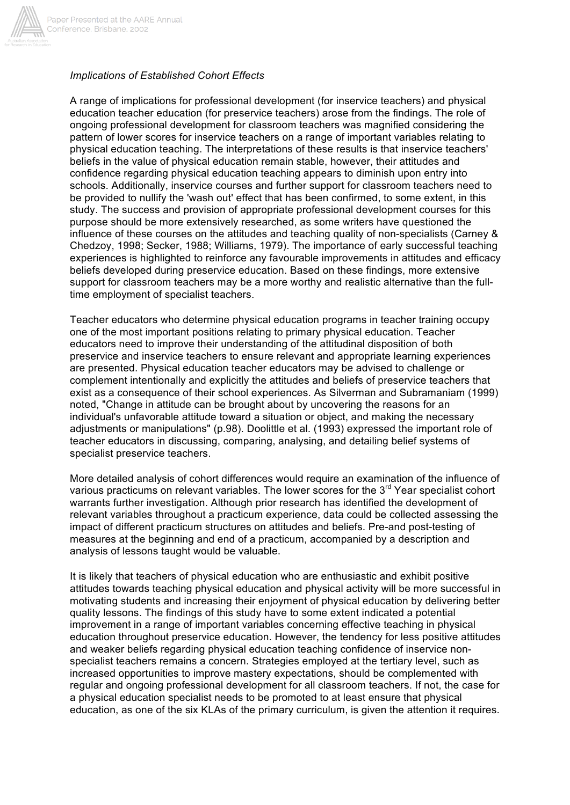

## *Implications of Established Cohort Effects*

A range of implications for professional development (for inservice teachers) and physical education teacher education (for preservice teachers) arose from the findings. The role of ongoing professional development for classroom teachers was magnified considering the pattern of lower scores for inservice teachers on a range of important variables relating to physical education teaching. The interpretations of these results is that inservice teachers' beliefs in the value of physical education remain stable, however, their attitudes and confidence regarding physical education teaching appears to diminish upon entry into schools. Additionally, inservice courses and further support for classroom teachers need to be provided to nullify the 'wash out' effect that has been confirmed, to some extent, in this study. The success and provision of appropriate professional development courses for this purpose should be more extensively researched, as some writers have questioned the influence of these courses on the attitudes and teaching quality of non-specialists (Carney & Chedzoy, 1998; Secker, 1988; Williams, 1979). The importance of early successful teaching experiences is highlighted to reinforce any favourable improvements in attitudes and efficacy beliefs developed during preservice education. Based on these findings, more extensive support for classroom teachers may be a more worthy and realistic alternative than the fulltime employment of specialist teachers.

Teacher educators who determine physical education programs in teacher training occupy one of the most important positions relating to primary physical education. Teacher educators need to improve their understanding of the attitudinal disposition of both preservice and inservice teachers to ensure relevant and appropriate learning experiences are presented. Physical education teacher educators may be advised to challenge or complement intentionally and explicitly the attitudes and beliefs of preservice teachers that exist as a consequence of their school experiences. As Silverman and Subramaniam (1999) noted, "Change in attitude can be brought about by uncovering the reasons for an individual's unfavorable attitude toward a situation or object, and making the necessary adjustments or manipulations" (p.98). Doolittle et al. (1993) expressed the important role of teacher educators in discussing, comparing, analysing, and detailing belief systems of specialist preservice teachers.

More detailed analysis of cohort differences would require an examination of the influence of various practicums on relevant variables. The lower scores for the 3<sup>rd</sup> Year specialist cohort warrants further investigation. Although prior research has identified the development of relevant variables throughout a practicum experience, data could be collected assessing the impact of different practicum structures on attitudes and beliefs. Pre-and post-testing of measures at the beginning and end of a practicum, accompanied by a description and analysis of lessons taught would be valuable.

It is likely that teachers of physical education who are enthusiastic and exhibit positive attitudes towards teaching physical education and physical activity will be more successful in motivating students and increasing their enjoyment of physical education by delivering better quality lessons. The findings of this study have to some extent indicated a potential improvement in a range of important variables concerning effective teaching in physical education throughout preservice education. However, the tendency for less positive attitudes and weaker beliefs regarding physical education teaching confidence of inservice nonspecialist teachers remains a concern. Strategies employed at the tertiary level, such as increased opportunities to improve mastery expectations, should be complemented with regular and ongoing professional development for all classroom teachers. If not, the case for a physical education specialist needs to be promoted to at least ensure that physical education, as one of the six KLAs of the primary curriculum, is given the attention it requires.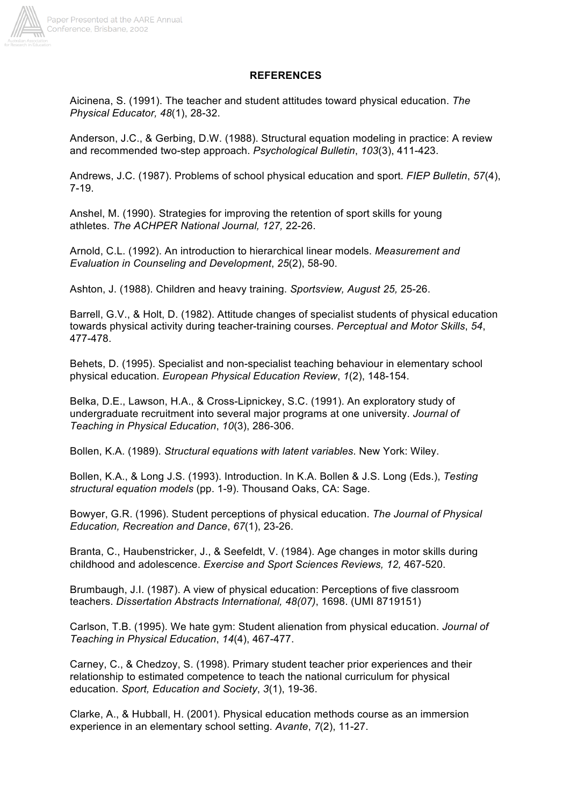

#### **REFERENCES**

Aicinena, S. (1991). The teacher and student attitudes toward physical education. *The Physical Educator, 48*(1), 28-32.

Anderson, J.C., & Gerbing, D.W. (1988). Structural equation modeling in practice: A review and recommended two-step approach. *Psychological Bulletin*, *103*(3), 411-423.

Andrews, J.C. (1987). Problems of school physical education and sport. *FIEP Bulletin*, *57*(4), 7-19.

Anshel, M. (1990). Strategies for improving the retention of sport skills for young athletes. *The ACHPER National Journal, 127,* 22-26.

Arnold, C.L. (1992). An introduction to hierarchical linear models. *Measurement and Evaluation in Counseling and Development*, *25*(2), 58-90.

Ashton, J. (1988). Children and heavy training. *Sportsview, August 25,* 25-26.

Barrell, G.V., & Holt, D. (1982). Attitude changes of specialist students of physical education towards physical activity during teacher-training courses. *Perceptual and Motor Skills*, *54*, 477-478.

Behets, D. (1995). Specialist and non-specialist teaching behaviour in elementary school physical education. *European Physical Education Review*, *1*(2), 148-154.

Belka, D.E., Lawson, H.A., & Cross-Lipnickey, S.C. (1991). An exploratory study of undergraduate recruitment into several major programs at one university. *Journal of Teaching in Physical Education*, *10*(3), 286-306.

Bollen, K.A. (1989). *Structural equations with latent variables*. New York: Wiley.

Bollen, K.A., & Long J.S. (1993). Introduction. In K.A. Bollen & J.S. Long (Eds.), *Testing structural equation models* (pp. 1-9). Thousand Oaks, CA: Sage.

Bowyer, G.R. (1996). Student perceptions of physical education. *The Journal of Physical Education, Recreation and Dance*, *67*(1), 23-26.

Branta, C., Haubenstricker, J., & Seefeldt, V. (1984). Age changes in motor skills during childhood and adolescence. *Exercise and Sport Sciences Reviews, 12,* 467-520.

Brumbaugh, J.I. (1987). A view of physical education: Perceptions of five classroom teachers. *Dissertation Abstracts International, 48(07)*, 1698. (UMI 8719151)

Carlson, T.B. (1995). We hate gym: Student alienation from physical education. *Journal of Teaching in Physical Education*, *14*(4), 467-477.

Carney, C., & Chedzoy, S. (1998). Primary student teacher prior experiences and their relationship to estimated competence to teach the national curriculum for physical education. *Sport, Education and Society*, *3*(1), 19-36.

Clarke, A., & Hubball, H. (2001). Physical education methods course as an immersion experience in an elementary school setting. *Avante*, *7*(2), 11-27.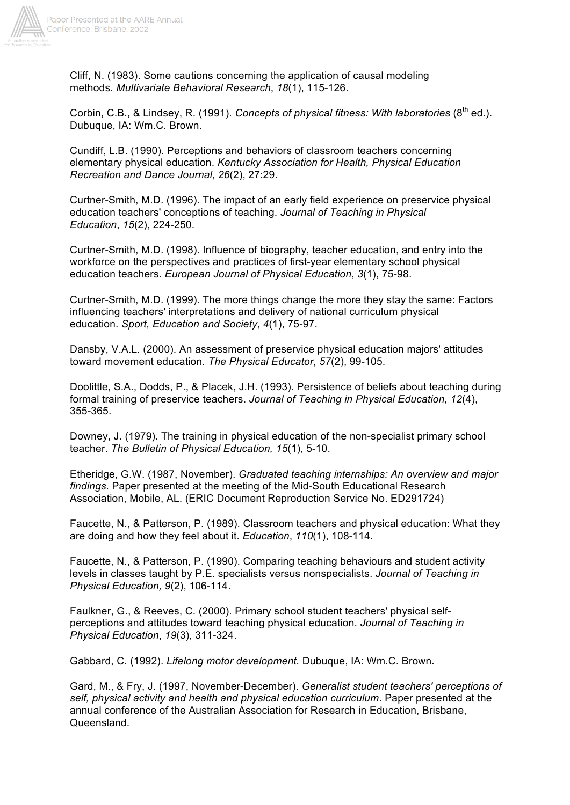

Cliff, N. (1983). Some cautions concerning the application of causal modeling methods. *Multivariate Behavioral Research*, *18*(1), 115-126.

Corbin, C.B., & Lindsey, R. (1991). *Concepts of physical fitness: With laboratories* (8<sup>th</sup> ed.). Dubuque, IA: Wm.C. Brown.

Cundiff, L.B. (1990). Perceptions and behaviors of classroom teachers concerning elementary physical education. *Kentucky Association for Health, Physical Education Recreation and Dance Journal*, *26*(2), 27:29.

Curtner-Smith, M.D. (1996). The impact of an early field experience on preservice physical education teachers' conceptions of teaching. *Journal of Teaching in Physical Education*, *15*(2), 224-250.

Curtner-Smith, M.D. (1998). Influence of biography, teacher education, and entry into the workforce on the perspectives and practices of first-year elementary school physical education teachers. *European Journal of Physical Education*, *3*(1), 75-98.

Curtner-Smith, M.D. (1999). The more things change the more they stay the same: Factors influencing teachers' interpretations and delivery of national curriculum physical education. *Sport, Education and Society*, *4*(1), 75-97.

Dansby, V.A.L. (2000). An assessment of preservice physical education majors' attitudes toward movement education. *The Physical Educator*, *57*(2), 99-105.

Doolittle, S.A., Dodds, P., & Placek, J.H. (1993). Persistence of beliefs about teaching during formal training of preservice teachers. *Journal of Teaching in Physical Education, 12*(4), 355-365.

Downey, J. (1979). The training in physical education of the non-specialist primary school teacher. *The Bulletin of Physical Education, 15*(1), 5-10.

Etheridge, G.W. (1987, November). *Graduated teaching internships: An overview and major findings.* Paper presented at the meeting of the Mid-South Educational Research Association, Mobile, AL. (ERIC Document Reproduction Service No. ED291724)

Faucette, N., & Patterson, P. (1989). Classroom teachers and physical education: What they are doing and how they feel about it. *Education*, *110*(1), 108-114.

Faucette, N., & Patterson, P. (1990). Comparing teaching behaviours and student activity levels in classes taught by P.E. specialists versus nonspecialists. *Journal of Teaching in Physical Education, 9*(2), 106-114.

Faulkner, G., & Reeves, C. (2000). Primary school student teachers' physical selfperceptions and attitudes toward teaching physical education. *Journal of Teaching in Physical Education*, *19*(3), 311-324.

Gabbard, C. (1992). *Lifelong motor development.* Dubuque, IA: Wm.C. Brown.

Gard, M., & Fry, J. (1997, November-December). *Generalist student teachers' perceptions of self, physical activity and health and physical education curriculum*. Paper presented at the annual conference of the Australian Association for Research in Education, Brisbane, Queensland.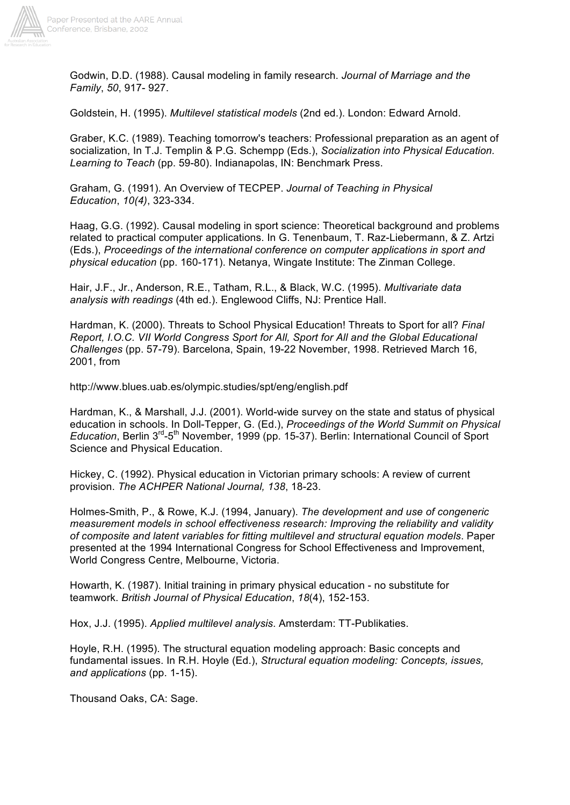

Godwin, D.D. (1988). Causal modeling in family research. *Journal of Marriage and the Family*, *50*, 917- 927.

Goldstein, H. (1995). *Multilevel statistical models* (2nd ed.). London: Edward Arnold.

Graber, K.C. (1989). Teaching tomorrow's teachers: Professional preparation as an agent of socialization, In T.J. Templin & P.G. Schempp (Eds.), *Socialization into Physical Education. Learning to Teach* (pp. 59-80). Indianapolas, IN: Benchmark Press.

Graham, G. (1991). An Overview of TECPEP. *Journal of Teaching in Physical Education*, *10(4)*, 323-334.

Haag, G.G. (1992). Causal modeling in sport science: Theoretical background and problems related to practical computer applications. In G. Tenenbaum, T. Raz-Liebermann, & Z. Artzi (Eds.), *Proceedings of the international conference on computer applications in sport and physical education* (pp. 160-171). Netanya, Wingate Institute: The Zinman College.

Hair, J.F., Jr., Anderson, R.E., Tatham, R.L., & Black, W.C. (1995). *Multivariate data analysis with readings* (4th ed.). Englewood Cliffs, NJ: Prentice Hall.

Hardman, K. (2000). Threats to School Physical Education! Threats to Sport for all? *Final Report, I.O.C. VII World Congress Sport for All, Sport for All and the Global Educational Challenges* (pp. 57-79). Barcelona, Spain, 19-22 November, 1998. Retrieved March 16, 2001, from

http://www.blues.uab.es/olympic.studies/spt/eng/english.pdf

Hardman, K., & Marshall, J.J. (2001). World-wide survey on the state and status of physical education in schools. In Doll-Tepper, G. (Ed.), *Proceedings of the World Summit on Physical Education*, Berlin 3rd-5th November, 1999 (pp. 15-37). Berlin: International Council of Sport Science and Physical Education.

Hickey, C. (1992). Physical education in Victorian primary schools: A review of current provision. *The ACHPER National Journal, 138*, 18-23.

Holmes-Smith, P., & Rowe, K.J. (1994, January). *The development and use of congeneric measurement models in school effectiveness research: Improving the reliability and validity of composite and latent variables for fitting multilevel and structural equation models*. Paper presented at the 1994 International Congress for School Effectiveness and Improvement, World Congress Centre, Melbourne, Victoria.

Howarth, K. (1987). Initial training in primary physical education - no substitute for teamwork. *British Journal of Physical Education*, *18*(4), 152-153.

Hox, J.J. (1995). *Applied multilevel analysis*. Amsterdam: TT-Publikaties.

Hoyle, R.H. (1995). The structural equation modeling approach: Basic concepts and fundamental issues. In R.H. Hoyle (Ed.), *Structural equation modeling: Concepts, issues, and applications* (pp. 1-15).

Thousand Oaks, CA: Sage.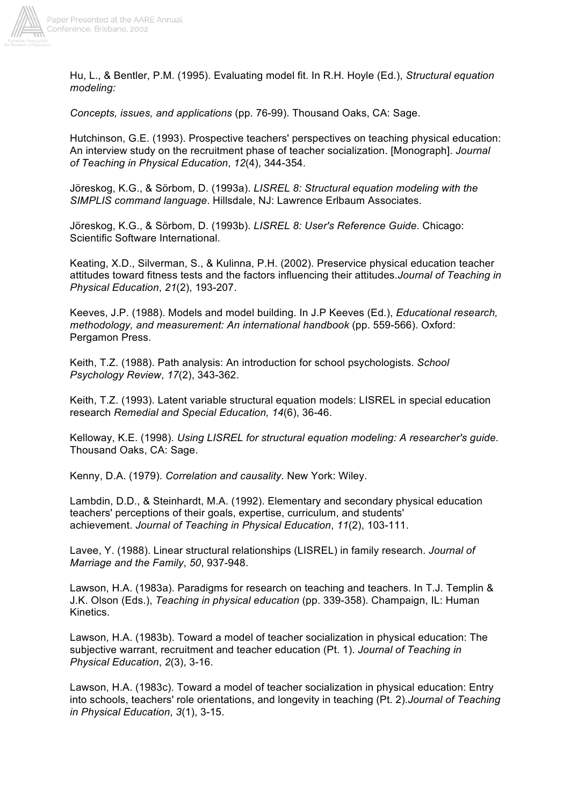

Hu, L., & Bentler, P.M. (1995). Evaluating model fit. In R.H. Hoyle (Ed.), *Structural equation modeling:*

*Concepts, issues, and applications* (pp. 76-99). Thousand Oaks, CA: Sage.

Hutchinson, G.E. (1993). Prospective teachers' perspectives on teaching physical education: An interview study on the recruitment phase of teacher socialization. [Monograph]. *Journal of Teaching in Physical Education*, *12*(4), 344-354.

Jöreskog, K.G., & Sörbom, D. (1993a). *LISREL 8: Structural equation modeling with the SIMPLIS command language*. Hillsdale, NJ: Lawrence Erlbaum Associates.

Jöreskog, K.G., & Sörbom, D. (1993b). *LISREL 8: User's Reference Guide*. Chicago: Scientific Software International.

Keating, X.D., Silverman, S., & Kulinna, P.H. (2002). Preservice physical education teacher attitudes toward fitness tests and the factors influencing their attitudes.*Journal of Teaching in Physical Education*, *21*(2), 193-207.

Keeves, J.P. (1988). Models and model building. In J.P Keeves (Ed.), *Educational research, methodology, and measurement: An international handbook* (pp. 559-566). Oxford: Pergamon Press.

Keith, T.Z. (1988). Path analysis: An introduction for school psychologists. *School Psychology Review*, *17*(2), 343-362.

Keith, T.Z. (1993). Latent variable structural equation models: LISREL in special education research *Remedial and Special Education, 14*(6), 36-46.

Kelloway, K.E. (1998). *Using LISREL for structural equation modeling: A researcher's guide*. Thousand Oaks, CA: Sage.

Kenny, D.A. (1979). *Correlation and causality*. New York: Wiley.

Lambdin, D.D., & Steinhardt, M.A. (1992). Elementary and secondary physical education teachers' perceptions of their goals, expertise, curriculum, and students' achievement. *Journal of Teaching in Physical Education*, *11*(2), 103-111.

Lavee, Y. (1988). Linear structural relationships (LISREL) in family research. *Journal of Marriage and the Family*, *50*, 937-948.

Lawson, H.A. (1983a). Paradigms for research on teaching and teachers. In T.J. Templin & J.K. Olson (Eds.), *Teaching in physical education* (pp. 339-358). Champaign, IL: Human Kinetics.

Lawson, H.A. (1983b). Toward a model of teacher socialization in physical education: The subjective warrant, recruitment and teacher education (Pt. 1). *Journal of Teaching in Physical Education*, *2*(3), 3-16.

Lawson, H.A. (1983c). Toward a model of teacher socialization in physical education: Entry into schools, teachers' role orientations, and longevity in teaching (Pt. 2).*Journal of Teaching in Physical Education*, *3*(1), 3-15.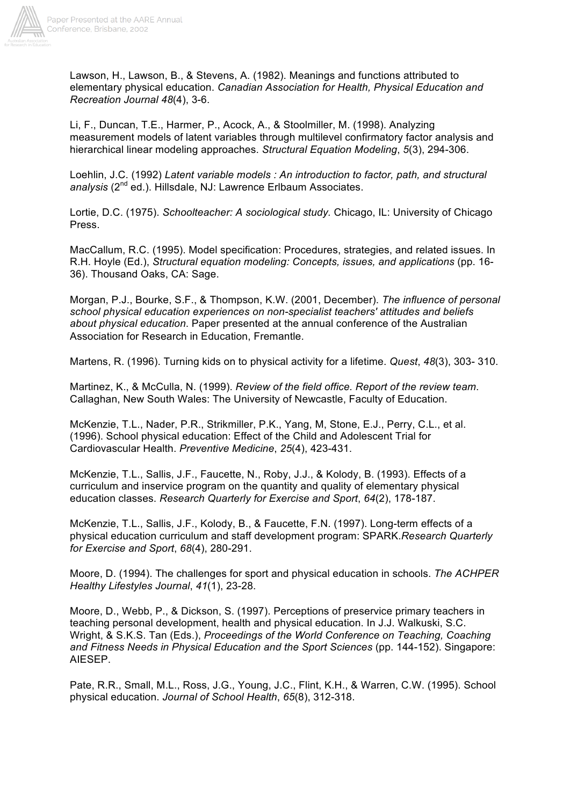

Lawson, H., Lawson, B., & Stevens, A. (1982). Meanings and functions attributed to elementary physical education. *Canadian Association for Health, Physical Education and Recreation Journal 48*(4), 3-6.

Li, F., Duncan, T.E., Harmer, P., Acock, A., & Stoolmiller, M. (1998). Analyzing measurement models of latent variables through multilevel confirmatory factor analysis and hierarchical linear modeling approaches. *Structural Equation Modeling*, *5*(3), 294-306.

Loehlin, J.C. (1992) *Latent variable models : An introduction to factor, path, and structural*  analysis<sup>(2nd</sup> ed.). Hillsdale, NJ: Lawrence Erlbaum Associates.

Lortie, D.C. (1975). *Schoolteacher: A sociological study.* Chicago, IL: University of Chicago Press.

MacCallum, R.C. (1995). Model specification: Procedures, strategies, and related issues. In R.H. Hoyle (Ed.), *Structural equation modeling: Concepts, issues, and applications* (pp. 16- 36). Thousand Oaks, CA: Sage.

Morgan, P.J., Bourke, S.F., & Thompson, K.W. (2001, December). *The influence of personal school physical education experiences on non-specialist teachers' attitudes and beliefs about physical education*. Paper presented at the annual conference of the Australian Association for Research in Education, Fremantle.

Martens, R. (1996). Turning kids on to physical activity for a lifetime. *Quest*, *48*(3), 303- 310.

Martinez, K., & McCulla, N. (1999). *Review of the field office. Report of the review team*. Callaghan, New South Wales: The University of Newcastle, Faculty of Education.

McKenzie, T.L., Nader, P.R., Strikmiller, P.K., Yang, M, Stone, E.J., Perry, C.L., et al. (1996). School physical education: Effect of the Child and Adolescent Trial for Cardiovascular Health. *Preventive Medicine*, *25*(4), 423-431.

McKenzie, T.L., Sallis, J.F., Faucette, N., Roby, J.J., & Kolody, B. (1993). Effects of a curriculum and inservice program on the quantity and quality of elementary physical education classes. *Research Quarterly for Exercise and Sport*, *64*(2), 178-187.

McKenzie, T.L., Sallis, J.F., Kolody, B., & Faucette, F.N. (1997). Long-term effects of a physical education curriculum and staff development program: SPARK.*Research Quarterly for Exercise and Sport*, *68*(4), 280-291.

Moore, D. (1994). The challenges for sport and physical education in schools. *The ACHPER Healthy Lifestyles Journal*, *41*(1), 23-28.

Moore, D., Webb, P., & Dickson, S. (1997). Perceptions of preservice primary teachers in teaching personal development, health and physical education. In J.J. Walkuski, S.C. Wright, & S.K.S. Tan (Eds.), *Proceedings of the World Conference on Teaching, Coaching and Fitness Needs in Physical Education and the Sport Sciences* (pp. 144-152). Singapore: AIESEP.

Pate, R.R., Small, M.L., Ross, J.G., Young, J.C., Flint, K.H., & Warren, C.W. (1995). School physical education. *Journal of School Health*, *65*(8), 312-318.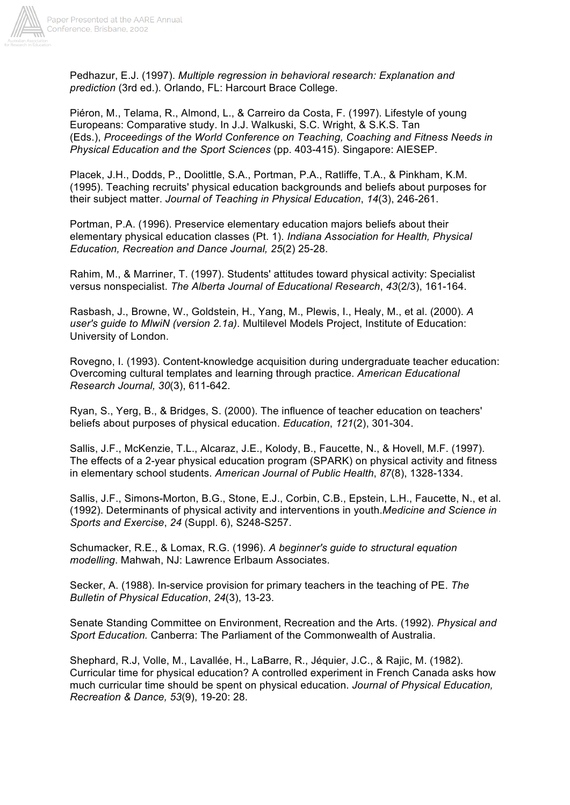

Pedhazur, E.J. (1997). *Multiple regression in behavioral research: Explanation and prediction* (3rd ed.). Orlando, FL: Harcourt Brace College.

Piéron, M., Telama, R., Almond, L., & Carreiro da Costa, F. (1997). Lifestyle of young Europeans: Comparative study. In J.J. Walkuski, S.C. Wright, & S.K.S. Tan (Eds.), *Proceedings of the World Conference on Teaching, Coaching and Fitness Needs in Physical Education and the Sport Sciences* (pp. 403-415). Singapore: AIESEP.

Placek, J.H., Dodds, P., Doolittle, S.A., Portman, P.A., Ratliffe, T.A., & Pinkham, K.M. (1995). Teaching recruits' physical education backgrounds and beliefs about purposes for their subject matter. *Journal of Teaching in Physical Education*, *14*(3), 246-261.

Portman, P.A. (1996). Preservice elementary education majors beliefs about their elementary physical education classes (Pt. 1). *Indiana Association for Health, Physical Education, Recreation and Dance Journal, 25*(2) 25-28.

Rahim, M., & Marriner, T. (1997). Students' attitudes toward physical activity: Specialist versus nonspecialist. *The Alberta Journal of Educational Research*, *43*(2/3), 161-164.

Rasbash, J., Browne, W., Goldstein, H., Yang, M., Plewis, I., Healy, M., et al. (2000). *A user's guide to MlwiN (version 2.1a)*. Multilevel Models Project, Institute of Education: University of London.

Rovegno, I. (1993). Content-knowledge acquisition during undergraduate teacher education: Overcoming cultural templates and learning through practice. *American Educational Research Journal, 30*(3), 611-642.

Ryan, S., Yerg, B., & Bridges, S. (2000). The influence of teacher education on teachers' beliefs about purposes of physical education. *Education*, *121*(2), 301-304.

Sallis, J.F., McKenzie, T.L., Alcaraz, J.E., Kolody, B., Faucette, N., & Hovell, M.F. (1997). The effects of a 2-year physical education program (SPARK) on physical activity and fitness in elementary school students. *American Journal of Public Health*, *87*(8), 1328-1334.

Sallis, J.F., Simons-Morton, B.G., Stone, E.J., Corbin, C.B., Epstein, L.H., Faucette, N., et al. (1992). Determinants of physical activity and interventions in youth.*Medicine and Science in Sports and Exercise*, *24* (Suppl. 6), S248-S257.

Schumacker, R.E., & Lomax, R.G. (1996). *A beginner's guide to structural equation modelling*. Mahwah, NJ: Lawrence Erlbaum Associates.

Secker, A. (1988). In-service provision for primary teachers in the teaching of PE. *The Bulletin of Physical Education*, *24*(3), 13-23.

Senate Standing Committee on Environment, Recreation and the Arts. (1992). *Physical and Sport Education.* Canberra: The Parliament of the Commonwealth of Australia.

Shephard, R.J, Volle, M., Lavallée, H., LaBarre, R., Jéquier, J.C., & Rajic, M. (1982). Curricular time for physical education? A controlled experiment in French Canada asks how much curricular time should be spent on physical education. *Journal of Physical Education, Recreation & Dance, 53*(9), 19-20: 28.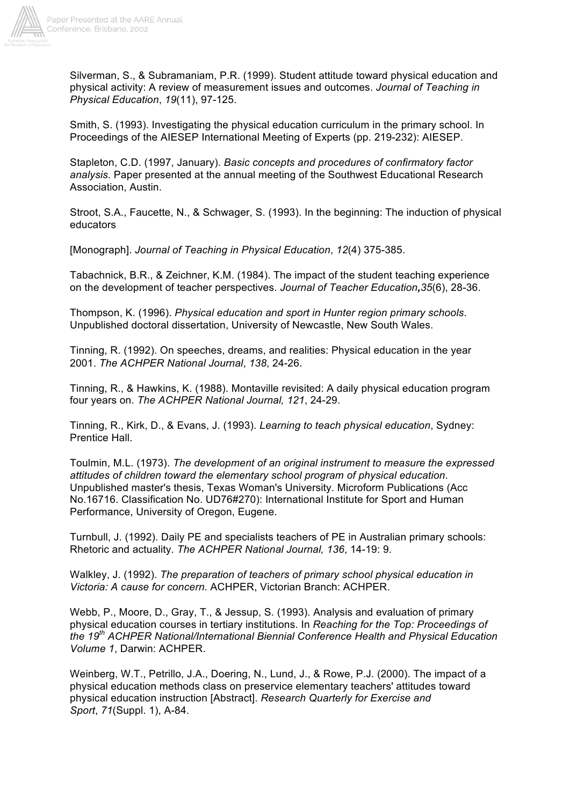

Silverman, S., & Subramaniam, P.R. (1999). Student attitude toward physical education and physical activity: A review of measurement issues and outcomes. *Journal of Teaching in Physical Education*, *19*(11), 97-125.

Smith, S. (1993). Investigating the physical education curriculum in the primary school. In Proceedings of the AIESEP International Meeting of Experts (pp. 219-232): AIESEP.

Stapleton, C.D. (1997, January). *Basic concepts and procedures of confirmatory factor analysis*. Paper presented at the annual meeting of the Southwest Educational Research Association, Austin.

Stroot, S.A., Faucette, N., & Schwager, S. (1993). In the beginning: The induction of physical educators

[Monograph]. *Journal of Teaching in Physical Education*, *12*(4) 375-385.

Tabachnick, B.R., & Zeichner, K.M. (1984). The impact of the student teaching experience on the development of teacher perspectives. *Journal of Teacher Education,35*(6), 28-36.

Thompson, K. (1996). *Physical education and sport in Hunter region primary schools*. Unpublished doctoral dissertation, University of Newcastle, New South Wales.

Tinning, R. (1992). On speeches, dreams, and realities: Physical education in the year 2001. *The ACHPER National Journal*, *138*, 24-26.

Tinning, R., & Hawkins, K. (1988). Montaville revisited: A daily physical education program four years on. *The ACHPER National Journal, 121*, 24-29.

Tinning, R., Kirk, D., & Evans, J. (1993). *Learning to teach physical education*, Sydney: Prentice Hall.

Toulmin, M.L. (1973). *The development of an original instrument to measure the expressed attitudes of children toward the elementary school program of physical education*. Unpublished master's thesis, Texas Woman's University. Microform Publications (Acc No.16716. Classification No. UD76#270): International Institute for Sport and Human Performance, University of Oregon, Eugene.

Turnbull, J. (1992). Daily PE and specialists teachers of PE in Australian primary schools: Rhetoric and actuality. *The ACHPER National Journal, 136*, 14-19: 9.

Walkley, J. (1992). *The preparation of teachers of primary school physical education in Victoria: A cause for concern*. ACHPER, Victorian Branch: ACHPER.

Webb, P., Moore, D., Gray, T., & Jessup, S. (1993). Analysis and evaluation of primary physical education courses in tertiary institutions. In *Reaching for the Top: Proceedings of the 19th ACHPER National/International Biennial Conference Health and Physical Education Volume 1*, Darwin: ACHPER.

Weinberg, W.T., Petrillo, J.A., Doering, N., Lund, J., & Rowe, P.J. (2000). The impact of a physical education methods class on preservice elementary teachers' attitudes toward physical education instruction [Abstract]. *Research Quarterly for Exercise and Sport*, *71*(Suppl. 1), A-84.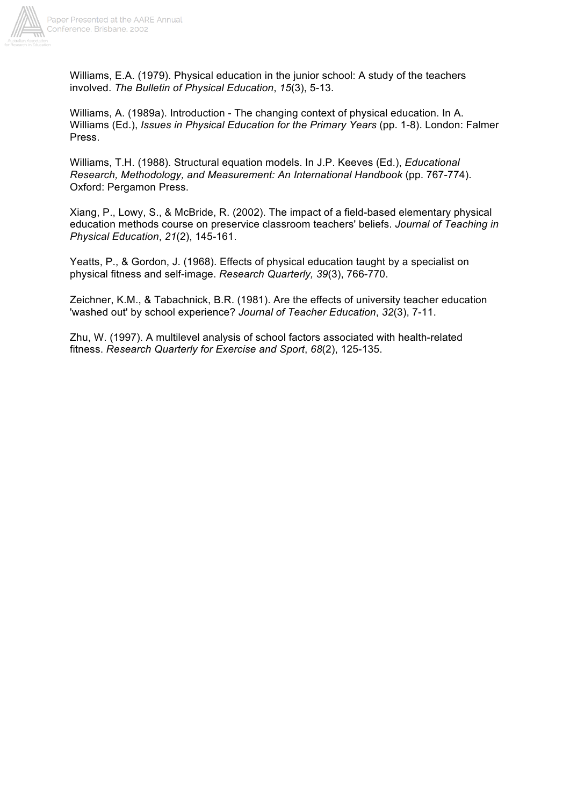

Williams, E.A. (1979). Physical education in the junior school: A study of the teachers involved. *The Bulletin of Physical Education*, *15*(3), 5-13.

Williams, A. (1989a). Introduction - The changing context of physical education. In A. Williams (Ed.), *Issues in Physical Education for the Primary Years* (pp. 1-8). London: Falmer Press.

Williams, T.H. (1988). Structural equation models. In J.P. Keeves (Ed.), *Educational Research, Methodology, and Measurement: An International Handbook* (pp. 767-774). Oxford: Pergamon Press.

Xiang, P., Lowy, S., & McBride, R. (2002). The impact of a field-based elementary physical education methods course on preservice classroom teachers' beliefs. *Journal of Teaching in Physical Education*, *21*(2), 145-161.

Yeatts, P., & Gordon, J. (1968). Effects of physical education taught by a specialist on physical fitness and self-image. *Research Quarterly, 39*(3), 766-770.

Zeichner, K.M., & Tabachnick, B.R. (1981). Are the effects of university teacher education 'washed out' by school experience? *Journal of Teacher Education*, *32*(3), 7-11.

Zhu, W. (1997). A multilevel analysis of school factors associated with health-related fitness. *Research Quarterly for Exercise and Sport*, *68*(2), 125-135.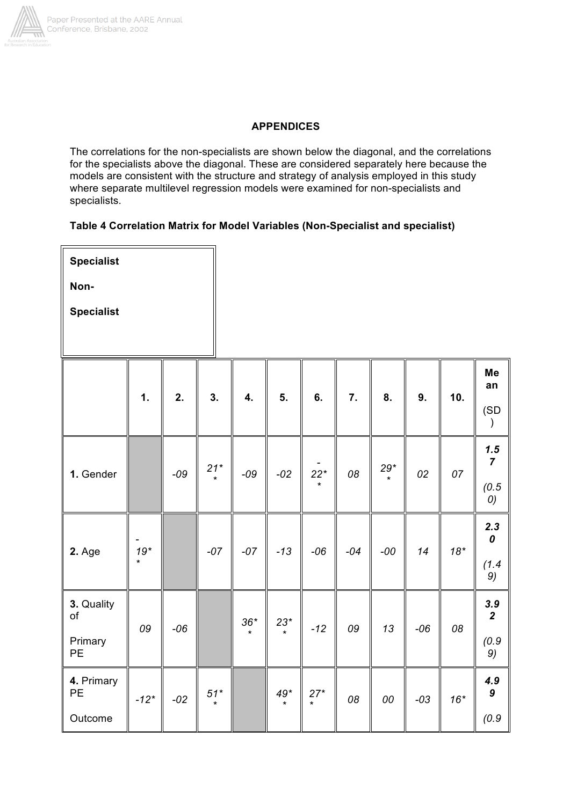

# **APPENDICES**

The correlations for the non-specialists are shown below the diagonal, and the correlations for the specialists above the diagonal. These are considered separately here because the models are consistent with the structure and strategy of analysis employed in this study where separate multilevel regression models were examined for non-specialists and specialists.

## **Table 4 Correlation Matrix for Model Variables (Non-Specialist and specialist)**

T

| <b>Specialist</b> |    |    |    |
|-------------------|----|----|----|
| Non-              |    |    |    |
| <b>Specialist</b> |    |    |    |
|                   |    |    |    |
|                   |    |    |    |
|                   | 1. | 2. | 3. |
|                   |    |    |    |

|                                   | 1.     | 2.    | 3.               | 4.    | 5.            | 6.               | 7.    | 8.                                        | 9.    | 10.          | Me<br>an                               |
|-----------------------------------|--------|-------|------------------|-------|---------------|------------------|-------|-------------------------------------------|-------|--------------|----------------------------------------|
|                                   |        |       |                  |       |               |                  |       |                                           |       |              | (SD<br>$\mathcal{F}$                   |
| 1. Gender                         |        | $-09$ | $21^*$           | $-09$ | $-02$         | $22*$<br>$\star$ | 08    | $\begin{bmatrix} 29^* \\ * \end{bmatrix}$ | 02    | 07           | 1.5<br>$\overline{7}$<br>(0.5)<br>0)   |
| 2. Age                            | $19*$  |       | $-07$            | $-07$ | $-13$         | $-06$            | $-04$ | $-00$                                     | 14    | $18^{\star}$ | 2.3<br>$\boldsymbol{o}$<br>(1.4)<br>9) |
| 3. Quality<br>of<br>Primary<br>PE | 09     | $-06$ |                  |       | $36^*$ $23^*$ | $-12$            | 09    | 13                                        | $-06$ | 08           | $\frac{3.9}{2}$<br>(0.9)<br>9)         |
| 4. Primary<br>PE<br>Outcome       | $-12*$ | $-02$ | $51*$<br>$\star$ |       |               | $49^*$ 27*       | 08    | 00                                        | $-03$ | $16*$        | 4.9<br>$\boldsymbol{9}$<br>(0.9)       |

Τ

Τ

⊺

╥

 $\mathbb T$ 

II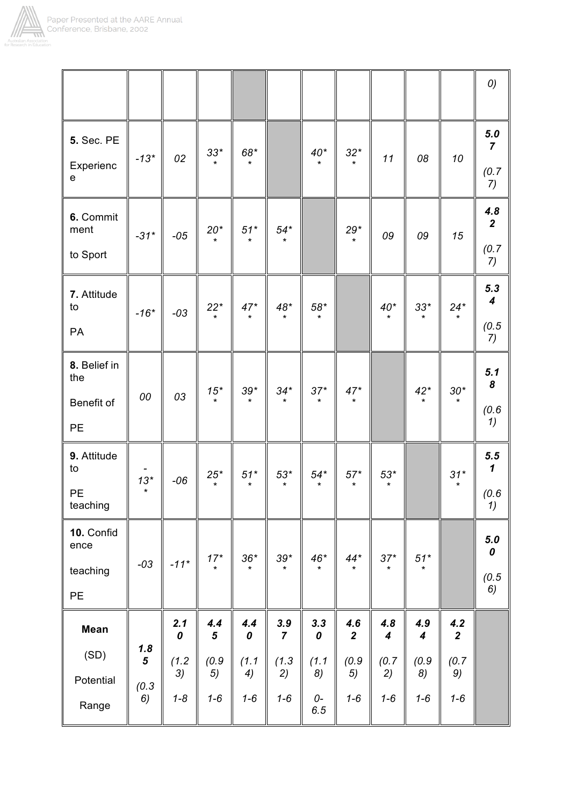

|                                                |                   |             |                        |                        |                        |                    |                         |                         |                         |                       | 0)                                     |
|------------------------------------------------|-------------------|-------------|------------------------|------------------------|------------------------|--------------------|-------------------------|-------------------------|-------------------------|-----------------------|----------------------------------------|
| <b>5. Sec. PE</b><br>Experienc<br>$\mathsf{e}$ | $-13*$            | 02          | $33*$<br>$\star$       | 68*<br>$\star$         |                        | $40^{\ast}$        | $32*$<br>$\star$        | 11                      | 08                      | 10                    | $5.0$<br>$\overline{7}$<br>(0.7)<br>7) |
| 6. Commit<br>ment<br>to Sport                  | $-31*$            | $-05$       | $20^*$ *               | $51^{\ast}$<br>$\star$ | $54^{\ast}$<br>$\star$ |                    | $29^{\ast}$<br>$\star$  | 09                      | 09                      | 15                    | 4.8<br>$\overline{2}$<br>(0.7)<br>7)   |
| 7. Attitude<br>to<br>PA                        | $-16*$            | $-03$       | $22^*$                 | $47^*$                 | $48^{\ast}$            | $58*$              |                         | $40^{\ast}$             | $33^{*}$                | $24^*$                | 5.3<br>$\boldsymbol{4}$<br>(0.5)<br>7) |
| 8. Belief in<br>the<br>Benefit of<br>PE        | 00                | 03          | $\frac{15}{100}$       | $39*$                  | $34*$                  | $37^{\ast}_{\ast}$ | $47*$                   |                         | $42^*$                  | $30^{\ast}$           | 5.1<br>8<br>(0.6)<br>1)                |
| 9. Attitude<br>to<br>PE<br>teaching            | $13*$             | $-06$       | $25^*$<br>$\star$      | $51*$<br>$\star$       | $53*$<br>$\star$       | $54*$              | $57^{\star}$<br>$\star$ | $53*$<br>$\star$        |                         | $31*$<br>*            | 5.5<br>$\mathbf 1$<br>(0.6)<br>1)      |
| 10. Confid<br>ence<br>teaching<br>PE           | $-03$             | $-11*$      | $17^*$                 | $36*$<br>$\star$       | $39*$                  | $46^{\ast}$        | $44^{\ast}$<br>$\star$  | $37*$<br>$\star$        | $51^{\star}$<br>$\star$ |                       | 5.0<br>0<br>(0.5)<br>6)                |
| <b>Mean</b>                                    |                   | 2.1<br>0    | 4.4<br>$5\phantom{.0}$ | 4.4<br>$\pmb{o}$       | 3.9<br>$\overline{7}$  | 3.3<br>0           | 4.6<br>$\mathbf{2}$     | 4.8<br>$\boldsymbol{4}$ | 4.9<br>$\boldsymbol{4}$ | 4.2<br>$\overline{2}$ |                                        |
| (SD)                                           | 1.8<br>$\sqrt{5}$ | (1.2)<br>3) | (0.9)<br>5)            | (1.1)<br>4)            | (1.3)<br>2)            | (1.1)<br>8)        | (0.9)<br>5)             | (0.7)<br>2)             | (0.9)<br>8)             | (0.7)<br>9)           |                                        |
| Potential<br>Range                             | (0.3)<br>6)       | $1 - 8$     | $1 - 6$                | $1 - 6$                | $1 - 6$                | 0-<br>6.5          | $1 - 6$                 | $1 - 6$                 | $1 - 6$                 | $1 - 6$               |                                        |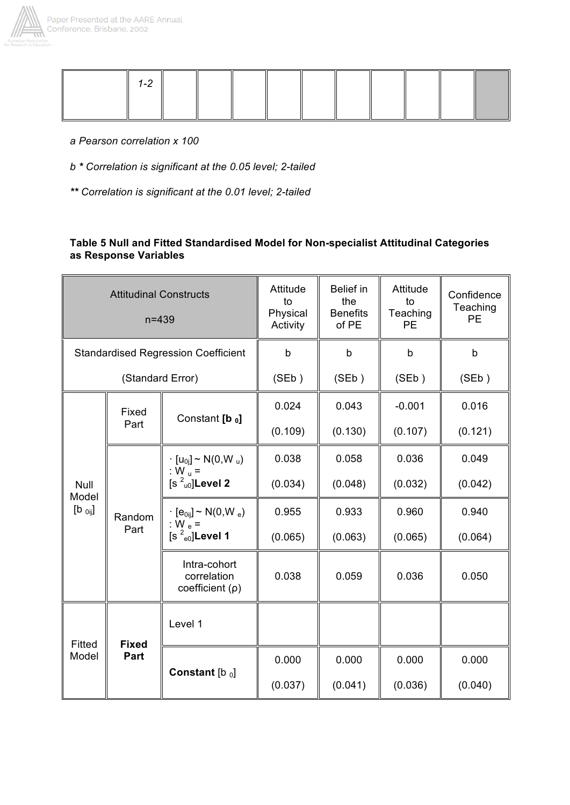



- *a Pearson correlation x 100*
- *b \* Correlation is significant at the 0.05 level; 2-tailed*
- *\*\* Correlation is significant at the 0.01 level; 2-tailed*

## **Table 5 Null and Fitted Standardised Model for Non-specialist Attitudinal Categories as Response Variables**

| <b>Attitudinal Constructs</b><br>$n = 439$ |                  |                                                                | Attitude<br>to<br>Physical<br>Activity | <b>Belief in</b><br>the<br><b>Benefits</b><br>of PE | Attitude<br>to<br>Teaching<br>PE | Confidence<br>Teaching<br><b>PE</b> |
|--------------------------------------------|------------------|----------------------------------------------------------------|----------------------------------------|-----------------------------------------------------|----------------------------------|-------------------------------------|
| <b>Standardised Regression Coefficient</b> |                  |                                                                | $\mathsf{b}$                           | $\mathsf b$                                         | b                                | $\mathsf{b}$                        |
|                                            | (Standard Error) |                                                                | (SEb)                                  | (SEb)                                               | (SEb)                            | (SEb)                               |
|                                            | Fixed            |                                                                | 0.024                                  | 0.043                                               | $-0.001$                         | 0.016                               |
|                                            | Part             | Constant [b o]                                                 | (0.109)                                | (0.130)                                             | (0.107)                          | (0.121)                             |
|                                            | Random<br>Part   | $\cdot$ [u <sub>0j</sub> ] ~ N(0,W <sub>u</sub> )<br>: $W_u =$ | 0.038                                  | 0.058                                               | 0.036                            | 0.049                               |
| Null<br>Model                              |                  | $[s2u0]$ Level 2                                               | (0.034)                                | (0.048)                                             | (0.032)                          | (0.042)                             |
| $[b_{0ij}]$                                |                  | $\cdot$ [e <sub>0ii</sub> ] ~ N(0,W <sub>e</sub> )             | 0.955                                  | 0.933                                               | 0.960                            | 0.940                               |
|                                            |                  | : W $_{\rm e}$ =<br>$[s2e0]$ Level 1                           | (0.065)                                | (0.063)                                             | (0.065)                          | (0.064)                             |
|                                            |                  | Intra-cohort<br>correlation<br>coefficient $(\rho)$            | 0.038                                  | 0.059                                               | 0.036                            | 0.050                               |
| Fitted                                     | <b>Fixed</b>     | Level 1                                                        |                                        |                                                     |                                  |                                     |
| Model                                      | Part             |                                                                | 0.000                                  | 0.000                                               | 0.000                            | 0.000                               |
|                                            |                  | Constant $[b_0]$                                               | (0.037)                                | (0.041)                                             | (0.036)                          | (0.040)                             |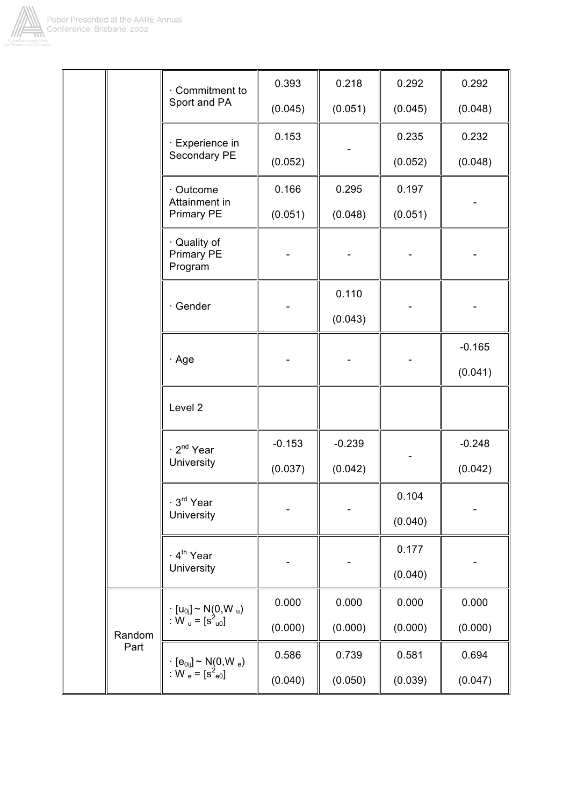

|        | Commitment to                                                                      | 0.393    | 0.218    | 0.292   | 0.292    |  |
|--------|------------------------------------------------------------------------------------|----------|----------|---------|----------|--|
|        | Sport and PA                                                                       | (0.045)  | (0.051)  | (0.045) | (0.048)  |  |
|        | · Experience in                                                                    | 0.153    |          | 0.235   | 0.232    |  |
|        | Secondary PE                                                                       | (0.052)  |          | (0.052) | (0.048)  |  |
|        | · Outcome<br>Attainment in                                                         | 0.166    | 0.295    | 0.197   |          |  |
|        | <b>Primary PE</b>                                                                  | (0.051)  | (0.048)  | (0.051) |          |  |
|        | · Quality of<br>Primary PE<br>Program                                              |          |          |         |          |  |
|        |                                                                                    |          | 0.110    |         |          |  |
|        | · Gender                                                                           |          | (0.043)  |         |          |  |
|        |                                                                                    |          |          |         | $-0.165$ |  |
|        | $\cdot$ Age                                                                        |          |          |         | (0.041)  |  |
|        | Level 2                                                                            |          |          |         |          |  |
|        | · 2 <sup>nd</sup> Year                                                             | $-0.153$ | $-0.239$ |         | $-0.248$ |  |
|        | University                                                                         | (0.037)  | (0.042)  |         | (0.042)  |  |
|        | ∙ 3 <sup>rd</sup> Year                                                             |          |          | 0.104   |          |  |
|        | University                                                                         |          |          | (0.040) |          |  |
|        | ⋅ 4 <sup>th</sup> Year                                                             |          |          | 0.177   |          |  |
|        | University                                                                         |          |          | (0.040) |          |  |
|        | $\begin{array}{l} \cdot~[u_{0j}]\sim N(0,W_u)\\ \colon W_u=[s^2_{u0}] \end{array}$ | 0.000    | 0.000    | 0.000   | 0.000    |  |
| Random |                                                                                    | (0.000)  | (0.000)  | (0.000) | (0.000)  |  |
| Part   | $\cdot$ [e <sub>0ij</sub> ] ~ N <sub>(</sub> 0,W <sub>e</sub> )                    | 0.586    | 0.739    | 0.581   | 0.694    |  |
|        | : W $_{e} = [s^{2}_{e0}]$                                                          | (0.040)  | (0.050)  | (0.039) | (0.047)  |  |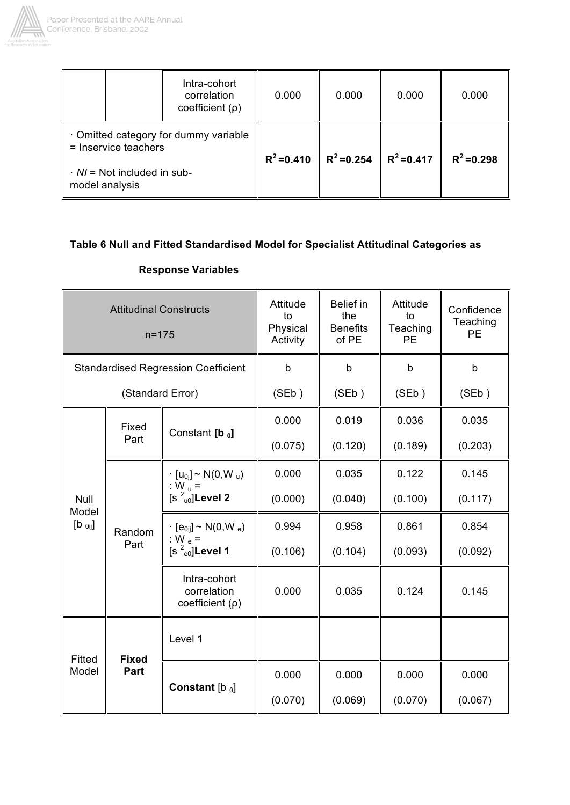

Г

|                                                     | Intra-cohort<br>correlation<br>coefficient $(\rho)$ | 0.000         | 0.000         | 0.000         | 0.000         |
|-----------------------------------------------------|-----------------------------------------------------|---------------|---------------|---------------|---------------|
| = Inservice teachers                                | Omitted category for dummy variable                 | $R^2 = 0.410$ | $R^2 = 0.254$ | $R^2 = 0.417$ | $R^2 = 0.298$ |
| $\cdot$ N/ = Not included in sub-<br>model analysis |                                                     |               |               |               |               |

# **Table 6 Null and Fitted Standardised Model for Specialist Attitudinal Categories as**

 $\overline{a}$ 

| <b>Attitudinal Constructs</b><br>$n = 175$ |                  |                                                                       | Attitude<br>to<br>Physical<br>Activity | <b>Belief in</b><br>the<br><b>Benefits</b><br>of PE | Attitude<br>to<br>Teaching<br><b>PE</b> | Confidence<br>Teaching<br><b>PE</b> |
|--------------------------------------------|------------------|-----------------------------------------------------------------------|----------------------------------------|-----------------------------------------------------|-----------------------------------------|-------------------------------------|
|                                            |                  | <b>Standardised Regression Coefficient</b>                            | $\mathsf{b}$                           | $\mathbf b$                                         | b                                       | $\mathsf b$                         |
|                                            | (Standard Error) |                                                                       | (SEb)                                  | (SEb)                                               | (SEb)                                   | (SEb)                               |
|                                            | Fixed            | Constant [b o]                                                        | 0.000                                  | 0.019                                               | 0.036                                   | 0.035                               |
|                                            | Part             |                                                                       | (0.075)                                | (0.120)                                             | (0.189)                                 | (0.203)                             |
|                                            | Random<br>Part   | $\cdot$ [u <sub>0i</sub> ] ~ N(0,W <sub>u</sub> )<br>: W $_{\rm H}$ = | 0.000                                  | 0.035                                               | 0.122                                   | 0.145                               |
| Null<br>Model                              |                  | $[s2u0]$ Level 2                                                      | (0.000)                                | (0.040)                                             | (0.100)                                 | (0.117)                             |
| $[b_{0ij}]$                                |                  | $\cdot$ [e <sub>0ij</sub> ] ~ N(0,W <sub>e</sub> )<br>: W $_e$ =      | 0.994                                  | 0.958                                               | 0.861                                   | 0.854                               |
|                                            |                  | $[s2e0]$ Level 1                                                      | (0.106)                                | (0.104)                                             | (0.093)                                 | (0.092)                             |
|                                            |                  | Intra-cohort<br>correlation<br>coefficient $(\rho)$                   | 0.000                                  | 0.035                                               | 0.124                                   | 0.145                               |
| Fitted                                     | <b>Fixed</b>     | Level 1                                                               |                                        |                                                     |                                         |                                     |
| Model                                      | Part             | Constant $[b_0]$                                                      | 0.000                                  | 0.000                                               | 0.000                                   | 0.000                               |
|                                            |                  |                                                                       | (0.070)                                | (0.069)                                             | (0.070)                                 | (0.067)                             |

# **Response Variables**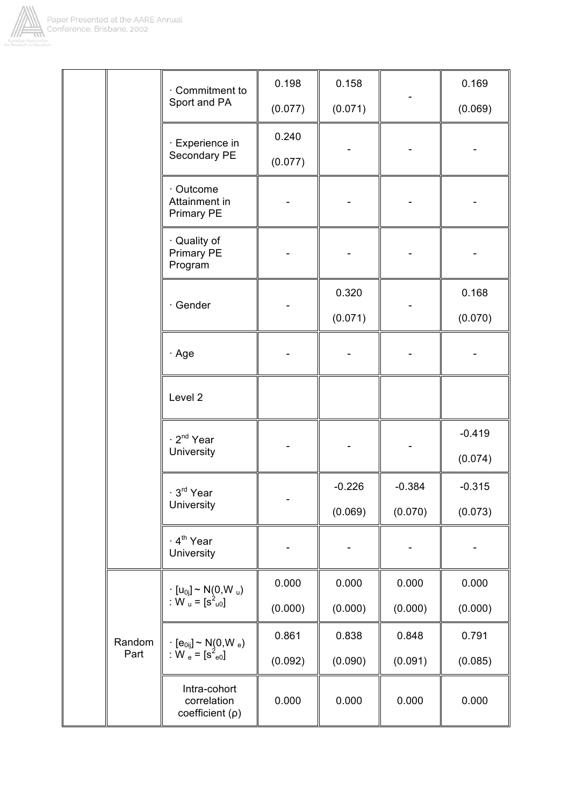

|  |                | Commitment to<br>Sport and PA                                                                                                                                                                                                                           | 0.198   | 0.158    |          | 0.169               |
|--|----------------|---------------------------------------------------------------------------------------------------------------------------------------------------------------------------------------------------------------------------------------------------------|---------|----------|----------|---------------------|
|  |                |                                                                                                                                                                                                                                                         | (0.077) | (0.071)  |          | (0.069)             |
|  |                | · Experience in<br>Secondary PE                                                                                                                                                                                                                         | 0.240   |          |          |                     |
|  |                |                                                                                                                                                                                                                                                         | (0.077) |          |          |                     |
|  |                | · Outcome<br>Attainment in<br>Primary PE                                                                                                                                                                                                                |         |          |          |                     |
|  |                | · Quality of<br>Primary PE<br>Program                                                                                                                                                                                                                   |         |          |          |                     |
|  |                | · Gender                                                                                                                                                                                                                                                |         | 0.320    |          | 0.168               |
|  |                |                                                                                                                                                                                                                                                         |         | (0.071)  |          | (0.070)             |
|  |                | · Age                                                                                                                                                                                                                                                   |         |          |          |                     |
|  |                | Level 2                                                                                                                                                                                                                                                 |         |          |          |                     |
|  |                | 2 <sup>nd</sup> Year<br>University                                                                                                                                                                                                                      |         |          |          | $-0.419$<br>(0.074) |
|  |                | $\cdot$ 3 <sup>rd</sup> Year<br>University                                                                                                                                                                                                              |         | $-0.226$ | $-0.384$ | $-0.315$            |
|  |                |                                                                                                                                                                                                                                                         |         | (0.069)  | (0.070)  | (0.073)             |
|  |                | · 4 <sup>th</sup> Year<br>University                                                                                                                                                                                                                    |         |          |          |                     |
|  | Random<br>Part | $\begin{array}{l} \cdot \ [\mathsf{u}_{0 \mathsf{j}}] \sim \mathsf{N}(\mathsf{0}, \mathsf{W}_{\mathsf{u}}) \\ \colon \mathsf{W}_{\mathsf{u}} = \bigl[\mathsf{s}_{\mathsf{u} \mathsf{0}}^2\bigr] \end{array}$                                            | 0.000   | 0.000    | 0.000    | 0.000               |
|  |                |                                                                                                                                                                                                                                                         | (0.000) | (0.000)  | (0.000)  | (0.000)             |
|  |                | $\begin{array}{l} \left[ \vphantom{a}[\mathbf{e}_{0ij}] - \mathsf{N}(\mathsf{0},\mathsf{W}_\mathrm{e}) \right] \\ \left. \vphantom{ \mathsf{N}(\mathsf{e})} \right] \times \mathsf{W}_\mathrm{e} = \left[ \mathsf{s}_\mathrm{e0}^2 \right] \end{array}$ | 0.861   | 0.838    | 0.848    | 0.791               |
|  |                |                                                                                                                                                                                                                                                         | (0.092) | (0.090)  | (0.091)  | (0.085)             |
|  |                | Intra-cohort<br>correlation<br>coefficient (p)                                                                                                                                                                                                          | 0.000   | 0.000    | 0.000    | 0.000               |